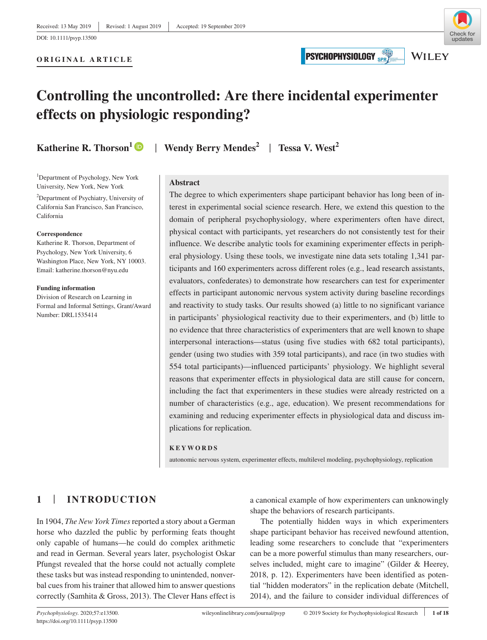## Check fo undates **WILEY**

**ORIGINAL ARTICLE**

# **PSYCHOPHYSIOLOGY**



# **Controlling the uncontrolled: Are there incidental experimenter effects on physiologic responding?**

<sup>1</sup>Department of Psychology, New York University, New York, New York

2 Department of Psychiatry, University of California San Francisco, San Francisco, California

#### **Correspondence**

Katherine R. Thorson, Department of Psychology, New York University, 6 Washington Place, New York, NY 10003. Email: [katherine.thorson@nyu.edu](mailto:katherine.thorson@nyu.edu)

#### **Funding information**

Division of Research on Learning in Formal and Informal Settings, Grant/Award Number: DRL1535414

**Katherine R. Thorson<sup>[1](https://orcid.org/0000-0003-1528-1071)</sup> D</sup> | Wendy Berry Mendes<sup>2</sup> | Tessa V. West<sup>2</sup>** 

### **Abstract**

The degree to which experimenters shape participant behavior has long been of interest in experimental social science research. Here, we extend this question to the domain of peripheral psychophysiology, where experimenters often have direct, physical contact with participants, yet researchers do not consistently test for their influence. We describe analytic tools for examining experimenter effects in peripheral physiology. Using these tools, we investigate nine data sets totaling 1,341 participants and 160 experimenters across different roles (e.g., lead research assistants, evaluators, confederates) to demonstrate how researchers can test for experimenter effects in participant autonomic nervous system activity during baseline recordings and reactivity to study tasks. Our results showed (a) little to no significant variance in participants' physiological reactivity due to their experimenters, and (b) little to no evidence that three characteristics of experimenters that are well known to shape interpersonal interactions—status (using five studies with 682 total participants), gender (using two studies with 359 total participants), and race (in two studies with 554 total participants)—influenced participants' physiology. We highlight several reasons that experimenter effects in physiological data are still cause for concern, including the fact that experimenters in these studies were already restricted on a number of characteristics (e.g., age, education). We present recommendations for examining and reducing experimenter effects in physiological data and discuss implications for replication.

#### **KEYWORDS**

autonomic nervous system, experimenter effects, multilevel modeling, psychophysiology, replication

## **1** | **INTRODUCTION**

In 1904, *The New York Times* reported a story about a German horse who dazzled the public by performing feats thought only capable of humans—he could do complex arithmetic and read in German. Several years later, psychologist Oskar Pfungst revealed that the horse could not actually complete these tasks but was instead responding to unintended, nonverbal cues from his trainer that allowed him to answer questions correctly (Samhita & Gross, 2013). The Clever Hans effect is

a canonical example of how experimenters can unknowingly shape the behaviors of research participants.

The potentially hidden ways in which experimenters shape participant behavior has received newfound attention, leading some researchers to conclude that "experimenters can be a more powerful stimulus than many researchers, ourselves included, might care to imagine" (Gilder & Heerey, 2018, p. 12). Experimenters have been identified as potential "hidden moderators" in the replication debate (Mitchell, 2014), and the failure to consider individual differences of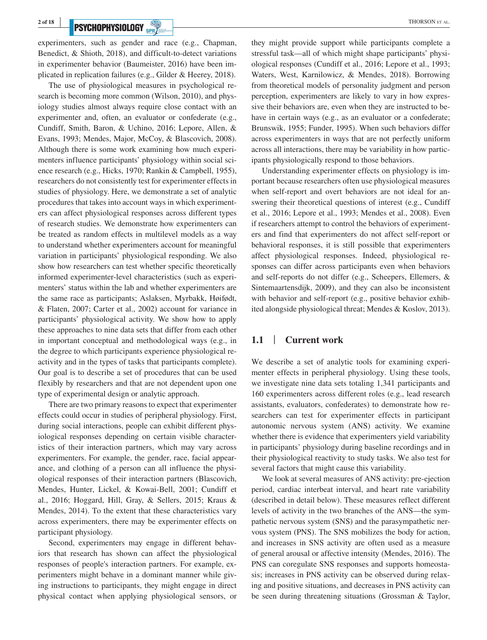## **PSYCHOPHYSIOLOGY** SPRACE **RECORD EXPLORANCE AND THORSON ET AL.**

experimenters, such as gender and race (e.g., Chapman, Benedict, & Shioth, 2018), and difficult-to-detect variations in experimenter behavior (Baumeister, 2016) have been implicated in replication failures (e.g., Gilder & Heerey, 2018).

The use of physiological measures in psychological research is becoming more common (Wilson, 2010), and physiology studies almost always require close contact with an experimenter and, often, an evaluator or confederate (e.g., Cundiff, Smith, Baron, & Uchino, 2016; Lepore, Allen, & Evans, 1993; Mendes, Major, McCoy, & Blascovich, 2008). Although there is some work examining how much experimenters influence participants' physiology within social science research (e.g., Hicks, 1970; Rankin & Campbell, 1955), researchers do not consistently test for experimenter effects in studies of physiology. Here, we demonstrate a set of analytic procedures that takes into account ways in which experimenters can affect physiological responses across different types of research studies. We demonstrate how experimenters can be treated as random effects in multilevel models as a way to understand whether experimenters account for meaningful variation in participants' physiological responding. We also show how researchers can test whether specific theoretically informed experimenter-level characteristics (such as experimenters' status within the lab and whether experimenters are the same race as participants; Aslaksen, Myrbakk, Høifødt, & Flaten, 2007; Carter et al., 2002) account for variance in participants' physiological activity. We show how to apply these approaches to nine data sets that differ from each other in important conceptual and methodological ways (e.g., in the degree to which participants experience physiological reactivity and in the types of tasks that participants complete). Our goal is to describe a set of procedures that can be used flexibly by researchers and that are not dependent upon one type of experimental design or analytic approach.

There are two primary reasons to expect that experimenter effects could occur in studies of peripheral physiology. First, during social interactions, people can exhibit different physiological responses depending on certain visible characteristics of their interaction partners, which may vary across experimenters. For example, the gender, race, facial appearance, and clothing of a person can all influence the physiological responses of their interaction partners (Blascovich, Mendes, Hunter, Lickel, & Kowai-Bell, 2001; Cundiff et al., 2016; Hoggard, Hill, Gray, & Sellers, 2015; Kraus & Mendes, 2014). To the extent that these characteristics vary across experimenters, there may be experimenter effects on participant physiology.

Second, experimenters may engage in different behaviors that research has shown can affect the physiological responses of people's interaction partners. For example, experimenters might behave in a dominant manner while giving instructions to participants, they might engage in direct physical contact when applying physiological sensors, or they might provide support while participants complete a stressful task—all of which might shape participants' physiological responses (Cundiff et al., 2016; Lepore et al., 1993; Waters, West, Karnilowicz, & Mendes, 2018). Borrowing from theoretical models of personality judgment and person perception, experimenters are likely to vary in how expressive their behaviors are, even when they are instructed to behave in certain ways (e.g., as an evaluator or a confederate; Brunswik, 1955; Funder, 1995). When such behaviors differ across experimenters in ways that are not perfectly uniform across all interactions, there may be variability in how participants physiologically respond to those behaviors.

Understanding experimenter effects on physiology is important because researchers often use physiological measures when self-report and overt behaviors are not ideal for answering their theoretical questions of interest (e.g., Cundiff et al., 2016; Lepore et al., 1993; Mendes et al., 2008). Even if researchers attempt to control the behaviors of experimenters and find that experimenters do not affect self-report or behavioral responses, it is still possible that experimenters affect physiological responses. Indeed, physiological responses can differ across participants even when behaviors and self-reports do not differ (e.g., Scheepers, Ellemers, & Sintemaartensdijk, 2009), and they can also be inconsistent with behavior and self-report (e.g., positive behavior exhibited alongside physiological threat; Mendes & Koslov, 2013).

## **1.1** | **Current work**

We describe a set of analytic tools for examining experimenter effects in peripheral physiology. Using these tools, we investigate nine data sets totaling 1,341 participants and 160 experimenters across different roles (e.g., lead research assistants, evaluators, confederates) to demonstrate how researchers can test for experimenter effects in participant autonomic nervous system (ANS) activity. We examine whether there is evidence that experimenters yield variability in participants' physiology during baseline recordings and in their physiological reactivity to study tasks. We also test for several factors that might cause this variability.

We look at several measures of ANS activity: pre-ejection period, cardiac interbeat interval, and heart rate variability (described in detail below). These measures reflect different levels of activity in the two branches of the ANS—the sympathetic nervous system (SNS) and the parasympathetic nervous system (PNS). The SNS mobilizes the body for action, and increases in SNS activity are often used as a measure of general arousal or affective intensity (Mendes, 2016). The PNS can coregulate SNS responses and supports homeostasis; increases in PNS activity can be observed during relaxing and positive situations, and decreases in PNS activity can be seen during threatening situations (Grossman & Taylor,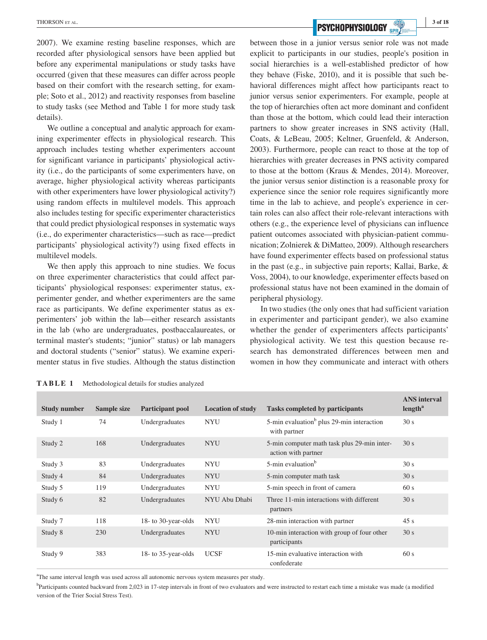2007). We examine resting baseline responses, which are recorded after physiological sensors have been applied but before any experimental manipulations or study tasks have occurred (given that these measures can differ across people based on their comfort with the research setting, for example; Soto et al., 2012) and reactivity responses from baseline to study tasks (see Method and Table 1 for more study task details).

We outline a conceptual and analytic approach for examining experimenter effects in physiological research. This approach includes testing whether experimenters account for significant variance in participants' physiological activity (i.e., do the participants of some experimenters have, on average, higher physiological activity whereas participants with other experimenters have lower physiological activity?) using random effects in multilevel models. This approach also includes testing for specific experimenter characteristics that could predict physiological responses in systematic ways (i.e., do experimenter characteristics—such as race—predict participants' physiological activity?) using fixed effects in multilevel models.

We then apply this approach to nine studies. We focus on three experimenter characteristics that could affect participants' physiological responses: experimenter status, experimenter gender, and whether experimenters are the same race as participants. We define experimenter status as experimenters' job within the lab—either research assistants in the lab (who are undergraduates, postbaccalaureates, or terminal master's students; "junior" status) or lab managers and doctoral students ("senior" status). We examine experimenter status in five studies. Although the status distinction

**EXECUTE AL. 1998 EXECUTE 2008 1999 1999 1999 1999 1999 1999 1999 1999 1999 1999 1999 1999 1999 1999 1999 1999 1999 1999 1999 1999 1999 1999 1999 1999 1999 1999 199** 

between those in a junior versus senior role was not made explicit to participants in our studies, people's position in social hierarchies is a well-established predictor of how they behave (Fiske, 2010), and it is possible that such behavioral differences might affect how participants react to junior versus senior experimenters. For example, people at the top of hierarchies often act more dominant and confident than those at the bottom, which could lead their interaction partners to show greater increases in SNS activity (Hall, Coats, & LeBeau, 2005; Keltner, Gruenfeld, & Anderson, 2003). Furthermore, people can react to those at the top of hierarchies with greater decreases in PNS activity compared to those at the bottom (Kraus & Mendes, 2014). Moreover, the junior versus senior distinction is a reasonable proxy for experience since the senior role requires significantly more time in the lab to achieve, and people's experience in certain roles can also affect their role-relevant interactions with others (e.g., the experience level of physicians can influence patient outcomes associated with physician-patient communication; Zolnierek & DiMatteo, 2009). Although researchers have found experimenter effects based on professional status in the past (e.g., in subjective pain reports; Kallai, Barke, & Voss, 2004), to our knowledge, experimenter effects based on professional status have not been examined in the domain of peripheral physiology.

In two studies (the only ones that had sufficient variation in experimenter and participant gender), we also examine whether the gender of experimenters affects participants' physiological activity. We test this question because research has demonstrated differences between men and women in how they communicate and interact with others

**TABLE 1** Methodological details for studies analyzed

| <b>Study number</b> | Sample size | <b>Participant pool</b> | <b>Location of study</b> | <b>Tasks completed by participants</b>                                | <b>ANS</b> interval<br>length <sup>a</sup> |
|---------------------|-------------|-------------------------|--------------------------|-----------------------------------------------------------------------|--------------------------------------------|
| Study 1             | 74          | Undergraduates          | <b>NYU</b>               | 5-min evaluation <sup>b</sup> plus 29-min interaction<br>with partner | 30 s                                       |
| Study 2             | 168         | Undergraduates          | <b>NYU</b>               | 5-min computer math task plus 29-min inter-<br>action with partner    | 30 s                                       |
| Study 3             | 83          | Undergraduates          | <b>NYU</b>               | 5-min evaluation <sup>b</sup>                                         | 30 s                                       |
| Study 4             | 84          | Undergraduates          | <b>NYU</b>               | 5-min computer math task                                              | 30 s                                       |
| Study 5             | 119         | Undergraduates          | <b>NYU</b>               | 5-min speech in front of camera                                       | 60 s                                       |
| Study 6             | 82          | Undergraduates          | NYU Abu Dhabi            | Three 11-min interactions with different<br>partners                  | 30 s                                       |
| Study 7             | 118         | 18- to 30-year-olds     | <b>NYU</b>               | 28-min interaction with partner                                       | 45s                                        |
| Study 8             | 230         | Undergraduates          | <b>NYU</b>               | 10-min interaction with group of four other<br>participants           | 30 s                                       |
| Study 9             | 383         | 18- to 35-year-olds     | <b>UCSF</b>              | 15-min evaluative interaction with<br>confederate                     | 60 s                                       |

<sup>a</sup>The same interval length was used across all autonomic nervous system measures per study.

<sup>b</sup>Participants counted backward from 2,023 in 17-step intervals in front of two evaluators and were instructed to restart each time a mistake was made (a modified version of the Trier Social Stress Test).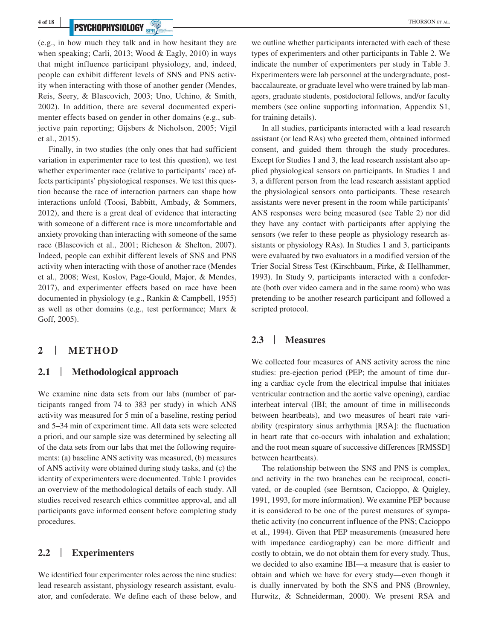## **PSYCHOPHYSIOLOGY** SPRY **Example 2008**

(e.g., in how much they talk and in how hesitant they are when speaking; Carli, 2013; Wood & Eagly, 2010) in ways that might influence participant physiology, and, indeed, people can exhibit different levels of SNS and PNS activity when interacting with those of another gender (Mendes, Reis, Seery, & Blascovich, 2003; Uno, Uchino, & Smith, 2002). In addition, there are several documented experimenter effects based on gender in other domains (e.g., subjective pain reporting; Gijsbers & Nicholson, 2005; Vigil et al., 2015).

Finally, in two studies (the only ones that had sufficient variation in experimenter race to test this question), we test whether experimenter race (relative to participants' race) affects participants' physiological responses. We test this question because the race of interaction partners can shape how interactions unfold (Toosi, Babbitt, Ambady, & Sommers, 2012), and there is a great deal of evidence that interacting with someone of a different race is more uncomfortable and anxiety provoking than interacting with someone of the same race (Blascovich et al., 2001; Richeson & Shelton, 2007). Indeed, people can exhibit different levels of SNS and PNS activity when interacting with those of another race (Mendes et al., 2008; West, Koslov, Page-Gould, Major, & Mendes, 2017), and experimenter effects based on race have been documented in physiology (e.g., Rankin & Campbell, 1955) as well as other domains (e.g., test performance; Marx & Goff, 2005).

### **2** | **METHOD**

### **2.1** | **Methodological approach**

We examine nine data sets from our labs (number of participants ranged from 74 to 383 per study) in which ANS activity was measured for 5 min of a baseline, resting period and 5‒34 min of experiment time. All data sets were selected a priori, and our sample size was determined by selecting all of the data sets from our labs that met the following requirements: (a) baseline ANS activity was measured, (b) measures of ANS activity were obtained during study tasks, and (c) the identity of experimenters were documented. Table 1 provides an overview of the methodological details of each study. All studies received research ethics committee approval, and all participants gave informed consent before completing study procedures.

### **2.2** | **Experimenters**

We identified four experimenter roles across the nine studies: lead research assistant, physiology research assistant, evaluator, and confederate. We define each of these below, and we outline whether participants interacted with each of these types of experimenters and other participants in Table 2. We indicate the number of experimenters per study in Table 3. Experimenters were lab personnel at the undergraduate, postbaccalaureate, or graduate level who were trained by lab managers, graduate students, postdoctoral fellows, and/or faculty members (see online supporting information, Appendix S1, for training details).

In all studies, participants interacted with a lead research assistant (or lead RAs) who greeted them, obtained informed consent, and guided them through the study procedures. Except for Studies 1 and 3, the lead research assistant also applied physiological sensors on participants. In Studies 1 and 3, a different person from the lead research assistant applied the physiological sensors onto participants. These research assistants were never present in the room while participants' ANS responses were being measured (see Table 2) nor did they have any contact with participants after applying the sensors (we refer to these people as physiology research assistants or physiology RAs). In Studies 1 and 3, participants were evaluated by two evaluators in a modified version of the Trier Social Stress Test (Kirschbaum, Pirke, & Hellhammer, 1993). In Study 9, participants interacted with a confederate (both over video camera and in the same room) who was pretending to be another research participant and followed a scripted protocol.

## **2.3** | **Measures**

We collected four measures of ANS activity across the nine studies: pre-ejection period (PEP; the amount of time during a cardiac cycle from the electrical impulse that initiates ventricular contraction and the aortic valve opening), cardiac interbeat interval (IBI; the amount of time in milliseconds between heartbeats), and two measures of heart rate variability (respiratory sinus arrhythmia [RSA]: the fluctuation in heart rate that co-occurs with inhalation and exhalation; and the root mean square of successive differences [RMSSD] between heartbeats).

The relationship between the SNS and PNS is complex, and activity in the two branches can be reciprocal, coactivated, or de-coupled (see Berntson, Cacioppo, & Quigley, 1991, 1993, for more information). We examine PEP because it is considered to be one of the purest measures of sympathetic activity (no concurrent influence of the PNS; Cacioppo et al., 1994). Given that PEP measurements (measured here with impedance cardiography) can be more difficult and costly to obtain, we do not obtain them for every study. Thus, we decided to also examine IBI—a measure that is easier to obtain and which we have for every study—even though it is dually innervated by both the SNS and PNS (Brownley, Hurwitz, & Schneiderman, 2000). We present RSA and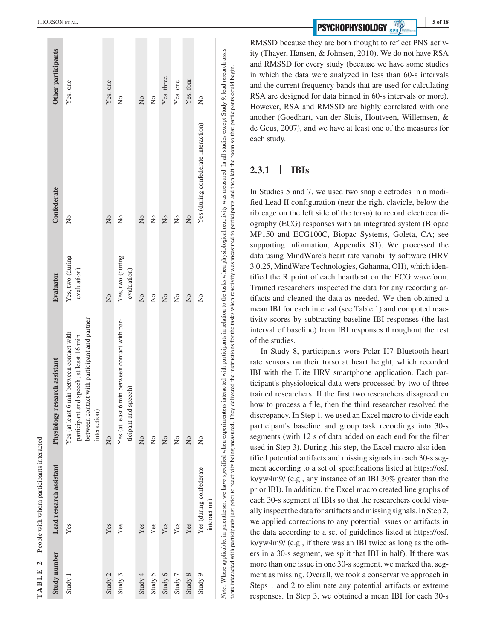RMSSD because they are both thought to reflect PNS activ ity (Thayer, Hansen, & Johnsen, 2010). We do not have RSA and RMSSD for every study (because we have some studies in which the data were analyzed in less than 60-s intervals and the current frequency bands that are used for calculating RSA are designed for data binned in 60-s intervals or more). However, RSA and RMSSD are highly correlated with one another (Goedhart, van der Sluis, Houtveen, Willemsen, & de Geus, 2007), and we have at least one of the measures for each study.

#### **2.3.1** | **IBIs**

Note: Where applicable, in parentheses, we have specified when experimenters interacted with participants in relation to the tasks when physiological reactivity was measured. In all studies except Study 9, lead research as tants interacted with participants just prior to reactivity being measured. They delivered the instructions for the tasks when reactivity was measured to participants and then left the room so that participants could begin

tants interacted with participants just prior to reactivity being measured. They delivered the instructions for the tasks when reactivity was measured to participants and then left the room so that participants could begin

In Studies 5 and 7, we used two snap electrodes in a modi fied Lead II configuration (near the right clavicle, below the rib cage on the left side of the torso) to record electrocardi ography (ECG) responses with an integrated system (Biopac MP150 and ECG100C, Biopac Systems, Goleta, CA; see supporting information, Appendix S1). We processed the data using MindWare's heart rate variability software (HRV 3.0.25, MindWare Technologies, Gahanna, OH), which iden tified the R point of each heartbeat on the ECG waveform. Trained researchers inspected the data for any recording ar tifacts and cleaned the data as needed. We then obtained a mean IBI for each interval (see Table 1) and computed reac tivity scores by subtracting baseline IBI responses (the last interval of baseline) from IBI responses throughout the rest of the studies.

In Study 8, participants wore Polar H7 Bluetooth heart rate sensors on their torso at heart height, which recorded IBI with the Elite HRV smartphone application. Each par ticipant's physiological data were processed by two of three trained researchers. If the first two researchers disagreed on how to process a file, then the third researcher resolved the discrepancy. In Step 1, we used an Excel macro to divide each participant's baseline and group task recordings into 30-s segments (with 12 s of data added on each end for the filter used in Step 3). During this step, the Excel macro also iden tified potential artifacts and missing signals in each 30-s seg ment according to a set of specifications listed at [https://osf.](https://osf.io/yw4m9/) [io/yw4m9/](https://osf.io/yw4m9/) (e.g., any instance of an IBI 30% greater than the prior IBI). In addition, the Excel macro created line graphs of each 30-s segment of IBIs so that the researchers could visu ally inspect the data for artifacts and missing signals. In Step 2, we applied corrections to any potential issues or artifacts in the data according to a set of guidelines listed at [https://osf.](https://osf.io/yw4m9/) [io/yw4m9/](https://osf.io/yw4m9/) (e.g., if there was an IBI twice as long as the oth ers in a 30-s segment, we split that IBI in half). If there was more than one issue in one 30-s segment, we marked that segment as missing. Overall, we took a conservative approach in Steps 1 and 2 to eliminate any potential artifacts or extreme responses. In Step 3, we obtained a mean IBI for each 30-s

People with whom participants interacted People with whom participants interacted  $\ddot{\phantom{0}}$ **TABLE 2 TARLE** 

|              | with the property of the company of the company of the company of the company of the company of the company of the company of the company of the company of the company of the company of the company of the company of the co |                                                                                                                                                                                                                                |                                 |                                      |                    |
|--------------|--------------------------------------------------------------------------------------------------------------------------------------------------------------------------------------------------------------------------------|--------------------------------------------------------------------------------------------------------------------------------------------------------------------------------------------------------------------------------|---------------------------------|--------------------------------------|--------------------|
| Study number | Lead research assistant                                                                                                                                                                                                        | Physiology research assistant                                                                                                                                                                                                  | <b>Evaluator</b>                | Confederate                          | Other participants |
| Study 1      | Yes                                                                                                                                                                                                                            | between contact with participant and partner<br>Yes (at least 6 min between contact with<br>participant and speech; at least 16 min<br>interaction)                                                                            | Yes, two (during<br>evaluation) | $\frac{1}{2}$                        | Yes, one           |
| Study 2      | Yes                                                                                                                                                                                                                            | $\frac{1}{2}$                                                                                                                                                                                                                  | $\frac{1}{2}$                   | $\frac{1}{2}$                        | Yes, one           |
| Study 3      | Yes                                                                                                                                                                                                                            | Yes (at least 6 min between contact with par-<br>ticipant and speech)                                                                                                                                                          | Yes, two (during<br>evaluation) | $\frac{1}{2}$                        | $\tilde{z}$        |
| Study 4      | Yes                                                                                                                                                                                                                            | $\frac{1}{2}$                                                                                                                                                                                                                  | $\frac{1}{2}$                   | $\frac{1}{2}$                        | $\frac{1}{2}$      |
| Study 5      | Yes                                                                                                                                                                                                                            | $\frac{1}{2}$                                                                                                                                                                                                                  | $\frac{1}{2}$                   | 2                                    | ż                  |
| Study 6      | Yes                                                                                                                                                                                                                            | $\frac{1}{2}$                                                                                                                                                                                                                  | $\frac{1}{2}$                   | $\frac{1}{2}$                        | Yes, three         |
| Study 7      | Yes                                                                                                                                                                                                                            | $\tilde{z}$                                                                                                                                                                                                                    | $\frac{1}{2}$                   | $\frac{1}{2}$                        | Yes, one           |
| Study 8      | Yes                                                                                                                                                                                                                            | $\frac{1}{2}$                                                                                                                                                                                                                  | $\frac{1}{2}$                   | $\frac{1}{2}$                        | Yes, four          |
| Study 9      | Yes (during confederate<br>interaction)                                                                                                                                                                                        | $\tilde{z}$                                                                                                                                                                                                                    | $\tilde{z}$                     | Yes (during confederate interaction) | $\tilde{z}$        |
|              |                                                                                                                                                                                                                                | Note: Where applicable, in parentheses, we have specified when experimenters interacted with participants in relation to the tasks when physiological reactivity was measured. In all studies except Study 9, lead research as |                                 |                                      |                    |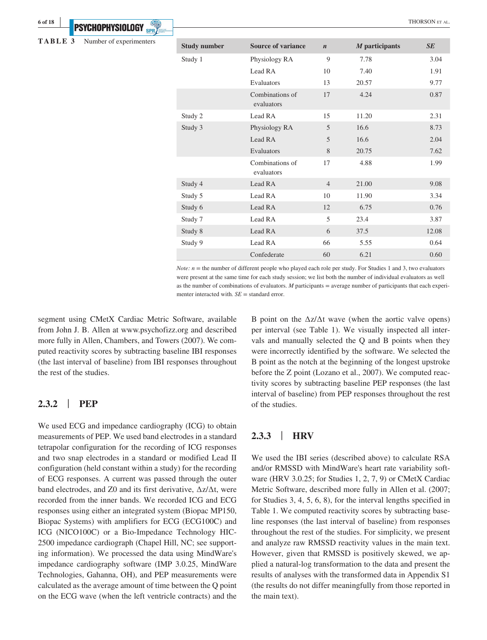**TABLE 3** Number of experimenters

**6 of 18 <sup>|</sup>**

| <b>Study number</b> | <b>Source of variance</b>     | $\boldsymbol{n}$ | M participants | SE    |
|---------------------|-------------------------------|------------------|----------------|-------|
| Study 1             | Physiology RA                 | 9                | 7.78           | 3.04  |
|                     | Lead RA                       | 10               | 7.40           | 1.91  |
|                     | Evaluators                    | 13               | 20.57          | 9.77  |
|                     | Combinations of<br>evaluators | 17               | 4.24           | 0.87  |
| Study 2             | Lead RA                       | 15               | 11.20          | 2.31  |
| Study 3             | Physiology RA                 | 5                | 16.6           | 8.73  |
|                     | Lead RA                       | 5                | 16.6           | 2.04  |
|                     | Evaluators                    | 8                | 20.75          | 7.62  |
|                     | Combinations of<br>evaluators | 17               | 4.88           | 1.99  |
| Study 4             | Lead RA                       | $\overline{4}$   | 21.00          | 9.08  |
| Study 5             | Lead RA                       | 10               | 11.90          | 3.34  |
| Study 6             | Lead RA                       | 12               | 6.75           | 0.76  |
| Study 7             | Lead RA                       | 5                | 23.4           | 3.87  |
| Study 8             | Lead RA                       | 6                | 37.5           | 12.08 |
| Study 9             | Lead RA                       | 66               | 5.55           | 0.64  |
|                     | Confederate                   | 60               | 6.21           | 0.60  |

*Note: n* = the number of different people who played each role per study. For Studies 1 and 3, two evaluators were present at the same time for each study session; we list both the number of individual evaluators as well as the number of combinations of evaluators. *M* participants = average number of participants that each experimenter interacted with. *SE* = standard error.

segment using CMetX Cardiac Metric Software, available from John J. B. Allen at [www.psychofizz.org](http://www.psychofizz.org) and described more fully in Allen, Chambers, and Towers (2007). We computed reactivity scores by subtracting baseline IBI responses (the last interval of baseline) from IBI responses throughout the rest of the studies.

### **2.3.2** | **PEP**

We used ECG and impedance cardiography (ICG) to obtain measurements of PEP. We used band electrodes in a standard tetrapolar configuration for the recording of ICG responses and two snap electrodes in a standard or modified Lead II configuration (held constant within a study) for the recording of ECG responses. A current was passed through the outer band electrodes, and Z0 and its first derivative, ∆z/∆t, were recorded from the inner bands. We recorded ICG and ECG responses using either an integrated system (Biopac MP150, Biopac Systems) with amplifiers for ECG (ECG100C) and ICG (NICO100C) or a Bio-Impedance Technology HIC-2500 impedance cardiograph (Chapel Hill, NC; see supporting information). We processed the data using MindWare's impedance cardiography software (IMP 3.0.25, MindWare Technologies, Gahanna, OH), and PEP measurements were calculated as the average amount of time between the Q point on the ECG wave (when the left ventricle contracts) and the

B point on the  $\Delta z/\Delta t$  wave (when the aortic valve opens) per interval (see Table 1). We visually inspected all intervals and manually selected the Q and B points when they were incorrectly identified by the software. We selected the B point as the notch at the beginning of the longest upstroke before the Z point (Lozano et al., 2007). We computed reactivity scores by subtracting baseline PEP responses (the last interval of baseline) from PEP responses throughout the rest of the studies.

## **2.3.3** | **HRV**

We used the IBI series (described above) to calculate RSA and/or RMSSD with MindWare's heart rate variability software (HRV 3.0.25; for Studies 1, 2, 7, 9) or CMetX Cardiac Metric Software, described more fully in Allen et al. (2007; for Studies 3, 4, 5, 6, 8), for the interval lengths specified in Table 1. We computed reactivity scores by subtracting baseline responses (the last interval of baseline) from responses throughout the rest of the studies. For simplicity, we present and analyze raw RMSSD reactivity values in the main text. However, given that RMSSD is positively skewed, we applied a natural-log transformation to the data and present the results of analyses with the transformed data in Appendix S1 (the results do not differ meaningfully from those reported in the main text).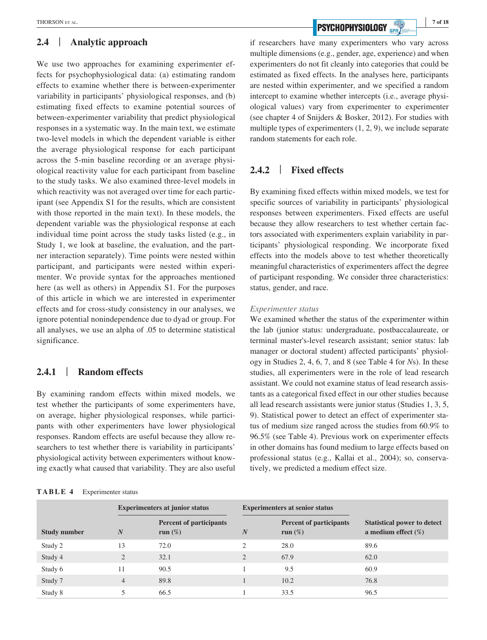## **2.4** | **Analytic approach**

We use two approaches for examining experimenter effects for psychophysiological data: (a) estimating random effects to examine whether there is between-experimenter variability in participants' physiological responses, and (b) estimating fixed effects to examine potential sources of between-experimenter variability that predict physiological responses in a systematic way. In the main text, we estimate two-level models in which the dependent variable is either the average physiological response for each participant across the 5-min baseline recording or an average physiological reactivity value for each participant from baseline to the study tasks. We also examined three-level models in which reactivity was not averaged over time for each participant (see Appendix S1 for the results, which are consistent with those reported in the main text). In these models, the dependent variable was the physiological response at each individual time point across the study tasks listed (e.g., in Study 1, we look at baseline, the evaluation, and the partner interaction separately). Time points were nested within participant, and participants were nested within experimenter. We provide syntax for the approaches mentioned here (as well as others) in Appendix S1. For the purposes of this article in which we are interested in experimenter effects and for cross-study consistency in our analyses, we ignore potential nonindependence due to dyad or group. For all analyses, we use an alpha of .05 to determine statistical significance.

## **2.4.1** | **Random effects**

By examining random effects within mixed models, we test whether the participants of some experimenters have, on average, higher physiological responses, while participants with other experimenters have lower physiological responses. Random effects are useful because they allow researchers to test whether there is variability in participants' physiological activity between experimenters without knowing exactly what caused that variability. They are also useful

#### **TABLE 4** Experimenter status

**THORSON ET AL. 7 of 18 PSYCHOPHYSIOLOGY SPR** 

if researchers have many experimenters who vary across multiple dimensions (e.g., gender, age, experience) and when experimenters do not fit cleanly into categories that could be estimated as fixed effects. In the analyses here, participants are nested within experimenter, and we specified a random intercept to examine whether intercepts (i.e., average physiological values) vary from experimenter to experimenter (see chapter 4 of Snijders & Bosker, 2012). For studies with multiple types of experimenters (1, 2, 9), we include separate random statements for each role.

## **2.4.2** | **Fixed effects**

By examining fixed effects within mixed models, we test for specific sources of variability in participants' physiological responses between experimenters. Fixed effects are useful because they allow researchers to test whether certain factors associated with experimenters explain variability in participants' physiological responding. We incorporate fixed effects into the models above to test whether theoretically meaningful characteristics of experimenters affect the degree of participant responding. We consider three characteristics: status, gender, and race.

#### *Experimenter status*

We examined whether the status of the experimenter within the lab (junior status: undergraduate, postbaccalaureate, or terminal master's-level research assistant; senior status: lab manager or doctoral student) affected participants' physiology in Studies 2, 4, 6, 7, and 8 (see Table 4 for *N*s). In these studies, all experimenters were in the role of lead research assistant. We could not examine status of lead research assistants as a categorical fixed effect in our other studies because all lead research assistants were junior status (Studies 1, 3, 5, 9). Statistical power to detect an effect of experimenter status of medium size ranged across the studies from 60.9% to 96.5% (see Table 4). Previous work on experimenter effects in other domains has found medium to large effects based on professional status (e.g., Kallai et al., 2004); so, conservatively, we predicted a medium effect size.

|                     |                | <b>Experimenters at junior status</b>        |                  | <b>Experimenters at senior status</b>        |                                                              |  |  |  |
|---------------------|----------------|----------------------------------------------|------------------|----------------------------------------------|--------------------------------------------------------------|--|--|--|
| <b>Study number</b> | N              | <b>Percent of participants</b><br>run $(\%)$ | $\boldsymbol{N}$ | <b>Percent of participants</b><br>run $(\%)$ | <b>Statistical power to detect</b><br>a medium effect $(\%)$ |  |  |  |
| Study 2             | 13             | 72.0                                         | 2                | 28.0                                         | 89.6                                                         |  |  |  |
| Study 4             | 2              | 32.1                                         | 2                | 67.9                                         | 62.0                                                         |  |  |  |
| Study 6             | 11             | 90.5                                         |                  | 9.5                                          | 60.9                                                         |  |  |  |
| Study 7             | $\overline{4}$ | 89.8                                         |                  | 10.2                                         | 76.8                                                         |  |  |  |
| Study 8             |                | 66.5                                         |                  | 33.5                                         | 96.5                                                         |  |  |  |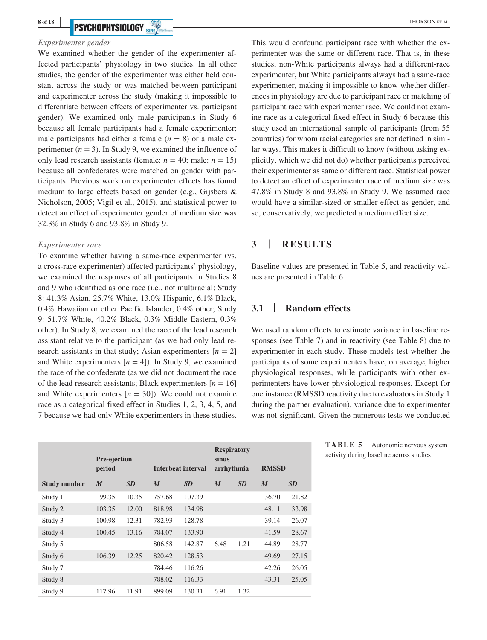#### *Experimenter gender*

We examined whether the gender of the experimenter affected participants' physiology in two studies. In all other studies, the gender of the experimenter was either held constant across the study or was matched between participant and experimenter across the study (making it impossible to differentiate between effects of experimenter vs. participant gender). We examined only male participants in Study 6 because all female participants had a female experimenter; male participants had either a female  $(n = 8)$  or a male experimenter  $(n = 3)$ . In Study 9, we examined the influence of only lead research assistants (female:  $n = 40$ ; male:  $n = 15$ ) because all confederates were matched on gender with participants. Previous work on experimenter effects has found medium to large effects based on gender (e.g., Gijsbers & Nicholson, 2005; Vigil et al., 2015), and statistical power to detect an effect of experimenter gender of medium size was 32.3% in Study 6 and 93.8% in Study 9.

#### *Experimenter race*

To examine whether having a same-race experimenter (vs. a cross-race experimenter) affected participants' physiology, we examined the responses of all participants in Studies 8 and 9 who identified as one race (i.e., not multiracial; Study 8: 41.3% Asian, 25.7% White, 13.0% Hispanic, 6.1% Black, 0.4% Hawaiian or other Pacific Islander, 0.4% other; Study 9: 51.7% White, 40.2% Black, 0.3% Middle Eastern, 0.3% other). In Study 8, we examined the race of the lead research assistant relative to the participant (as we had only lead research assistants in that study; Asian experimenters  $[n = 2]$ and White experimenters  $[n = 4]$ ). In Study 9, we examined the race of the confederate (as we did not document the race of the lead research assistants; Black experimenters  $[n = 16]$ and White experimenters  $[n = 30]$ ). We could not examine race as a categorical fixed effect in Studies 1, 2, 3, 4, 5, and 7 because we had only White experimenters in these studies.

|                     | Pre-ejection<br>period |           |                  | <b>Interbeat interval</b> | sinus<br>arrhythmia | <b>Respiratory</b> | <b>RMSSD</b>     |           |
|---------------------|------------------------|-----------|------------------|---------------------------|---------------------|--------------------|------------------|-----------|
| <b>Study number</b> | $\boldsymbol{M}$       | <b>SD</b> | $\boldsymbol{M}$ | <b>SD</b>                 | $\boldsymbol{M}$    | <b>SD</b>          | $\boldsymbol{M}$ | <b>SD</b> |
| Study 1             | 99.35                  | 10.35     | 757.68           | 107.39                    |                     |                    | 36.70            | 21.82     |
| Study 2             | 103.35                 | 12.00     | 818.98           | 134.98                    |                     |                    | 48.11            | 33.98     |
| Study 3             | 100.98                 | 12.31     | 782.93           | 128.78                    |                     |                    | 39.14            | 26.07     |
| Study 4             | 100.45                 | 13.16     | 784.07           | 133.90                    |                     |                    | 41.59            | 28.67     |
| Study 5             |                        |           | 806.58           | 142.87                    | 6.48                | 1.21               | 44.89            | 28.77     |
| Study 6             | 106.39                 | 12.25     | 820.42           | 128.53                    |                     |                    | 49.69            | 27.15     |
| Study 7             |                        |           | 784.46           | 116.26                    |                     |                    | 42.26            | 26.05     |
| Study 8             |                        |           | 788.02           | 116.33                    |                     |                    | 43.31            | 25.05     |
| Study 9             | 117.96                 | 11.91     | 899.09           | 130.31                    | 6.91                | 1.32               |                  |           |

This would confound participant race with whether the experimenter was the same or different race. That is, in these studies, non-White participants always had a different-race experimenter, but White participants always had a same-race experimenter, making it impossible to know whether differences in physiology are due to participant race or matching of participant race with experimenter race. We could not examine race as a categorical fixed effect in Study 6 because this study used an international sample of participants (from 55 countries) for whom racial categories are not defined in similar ways. This makes it difficult to know (without asking explicitly, which we did not do) whether participants perceived their experimenter as same or different race. Statistical power to detect an effect of experimenter race of medium size was 47.8% in Study 8 and 93.8% in Study 9. We assumed race would have a similar-sized or smaller effect as gender, and so, conservatively, we predicted a medium effect size.

## **3** | **RESULTS**

Baseline values are presented in Table 5, and reactivity values are presented in Table 6.

## **3.1** | **Random effects**

We used random effects to estimate variance in baseline responses (see Table 7) and in reactivity (see Table 8) due to experimenter in each study. These models test whether the participants of some experimenters have, on average, higher physiological responses, while participants with other experimenters have lower physiological responses. Except for one instance (RMSSD reactivity due to evaluators in Study 1 during the partner evaluation), variance due to experimenter was not significant. Given the numerous tests we conducted

| TABLE 5 | Autonomic nervous system                |
|---------|-----------------------------------------|
|         | activity during baseline across studies |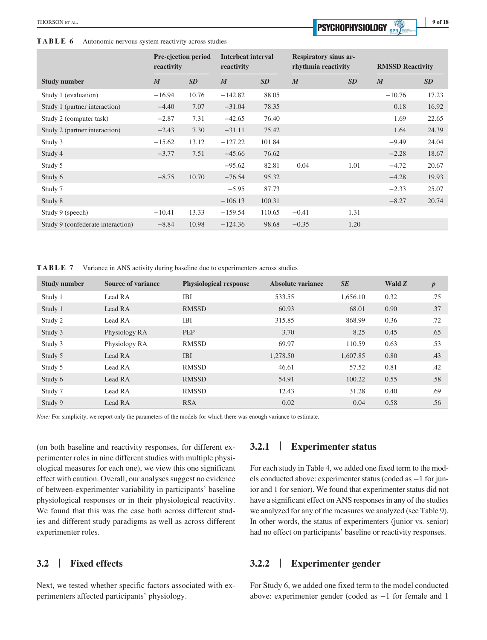**TABLE 6** Autonomic nervous system reactivity across studies

| ۰. |  |
|----|--|
|    |  |

|                                   | reactivity       | <b>Pre-ejection period</b> | <b>Interbeat interval</b><br>reactivity |           | rhythmia reactivity | <b>Respiratory sinus ar-</b> | <b>RMSSD Reactivity</b> |           |
|-----------------------------------|------------------|----------------------------|-----------------------------------------|-----------|---------------------|------------------------------|-------------------------|-----------|
| <b>Study number</b>               | $\boldsymbol{M}$ | <b>SD</b>                  | $\boldsymbol{M}$                        | <b>SD</b> | $\boldsymbol{M}$    | <b>SD</b>                    | $\boldsymbol{M}$        | <b>SD</b> |
| Study 1 (evaluation)              | $-16.94$         | 10.76                      | $-142.82$                               | 88.05     |                     |                              | $-10.76$                | 17.23     |
| Study 1 (partner interaction)     | $-4.40$          | 7.07                       | $-31.04$                                | 78.35     |                     |                              | 0.18                    | 16.92     |
| Study 2 (computer task)           | $-2.87$          | 7.31                       | $-42.65$                                | 76.40     |                     |                              | 1.69                    | 22.65     |
| Study 2 (partner interaction)     | $-2.43$          | 7.30                       | $-31.11$                                | 75.42     |                     |                              | 1.64                    | 24.39     |
| Study 3                           | $-15.62$         | 13.12                      | $-127.22$                               | 101.84    |                     |                              | $-9.49$                 | 24.04     |
| Study 4                           | $-3.77$          | 7.51                       | $-45.66$                                | 76.62     |                     |                              | $-2.28$                 | 18.67     |
| Study 5                           |                  |                            | $-95.62$                                | 82.81     | 0.04                | 1.01                         | $-4.72$                 | 20.67     |
| Study 6                           | $-8.75$          | 10.70                      | $-76.54$                                | 95.32     |                     |                              | $-4.28$                 | 19.93     |
| Study 7                           |                  |                            | $-5.95$                                 | 87.73     |                     |                              | $-2.33$                 | 25.07     |
| Study 8                           |                  |                            | $-106.13$                               | 100.31    |                     |                              | $-8.27$                 | 20.74     |
| Study 9 (speech)                  | $-10.41$         | 13.33                      | $-159.54$                               | 110.65    | $-0.41$             | 1.31                         |                         |           |
| Study 9 (confederate interaction) | $-8.84$          | 10.98                      | $-124.36$                               | 98.68     | $-0.35$             | 1.20                         |                         |           |

**TABLE 7** Variance in ANS activity during baseline due to experimenters across studies

| <b>Study number</b> | <b>Source of variance</b> | <b>Physiological response</b> | Absolute variance | <b>SE</b> | Wald Z | $\boldsymbol{p}$ |
|---------------------|---------------------------|-------------------------------|-------------------|-----------|--------|------------------|
| Study 1             | Lead RA                   | IBI                           | 533.55            | 1,656.10  | 0.32   | .75              |
| Study 1             | Lead RA                   | <b>RMSSD</b>                  | 60.93             | 68.01     | 0.90   | .37              |
| Study 2             | Lead RA                   | <b>IBI</b>                    | 315.85            | 868.99    | 0.36   | .72              |
| Study 3             | Physiology RA             | <b>PEP</b>                    | 3.70              | 8.25      | 0.45   | .65              |
| Study 3             | Physiology RA             | <b>RMSSD</b>                  | 69.97             | 110.59    | 0.63   | .53              |
| Study 5             | Lead RA                   | <b>IBI</b>                    | 1.278.50          | 1,607.85  | 0.80   | .43              |
| Study 5             | Lead RA                   | <b>RMSSD</b>                  | 46.61             | 57.52     | 0.81   | .42              |
| Study 6             | Lead RA                   | <b>RMSSD</b>                  | 54.91             | 100.22    | 0.55   | .58              |
| Study 7             | Lead RA                   | <b>RMSSD</b>                  | 12.43             | 31.28     | 0.40   | .69              |
| Study 9             | Lead RA                   | <b>RSA</b>                    | 0.02              | 0.04      | 0.58   | .56              |

*Note:* For simplicity, we report only the parameters of the models for which there was enough variance to estimate.

(on both baseline and reactivity responses, for different experimenter roles in nine different studies with multiple physiological measures for each one), we view this one significant effect with caution. Overall, our analyses suggest no evidence of between-experimenter variability in participants' baseline physiological responses or in their physiological reactivity. We found that this was the case both across different studies and different study paradigms as well as across different experimenter roles.

## **3.2** | **Fixed effects**

Next, we tested whether specific factors associated with experimenters affected participants' physiology.

## **3.2.1** | **Experimenter status**

For each study in Table 4, we added one fixed term to the models conducted above: experimenter status (coded as −1 for junior and 1 for senior). We found that experimenter status did not have a significant effect on ANS responses in any of the studies we analyzed for any of the measures we analyzed (see Table 9). In other words, the status of experimenters (junior vs. senior) had no effect on participants' baseline or reactivity responses.

## **3.2.2** | **Experimenter gender**

For Study 6, we added one fixed term to the model conducted above: experimenter gender (coded as −1 for female and 1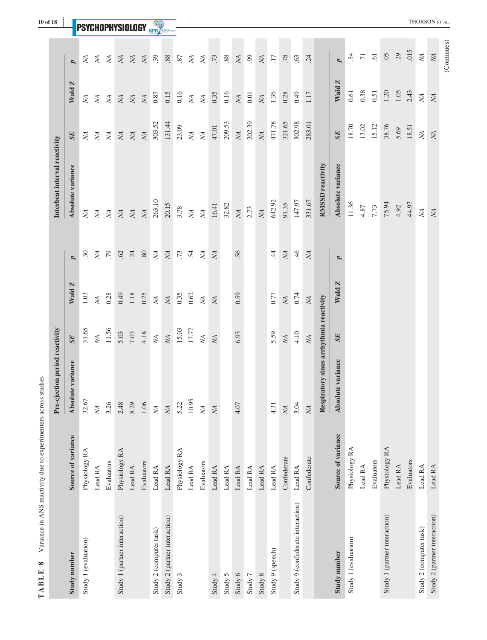|                                   |                    | Pre-ejection period reactivity              |                         |                                             |                 | Interbeat interval reactivity |                                             |             |                         |
|-----------------------------------|--------------------|---------------------------------------------|-------------------------|---------------------------------------------|-----------------|-------------------------------|---------------------------------------------|-------------|-------------------------|
| Study number                      | Source of variance | Absolute variance                           | <b>SE</b>               | Wald Z                                      | p               | Absolute variance             | <b>SE</b>                                   | Wald Z      | p                       |
| Study 1 (evaluation)              | Physiology RA      | 32.67                                       | 31.65                   | $1.03$                                      | 30              | ŅА                            | ŅА                                          | ŅА          | ŃД                      |
|                                   | Lead RA            | $\chi$                                      | $\chi_{\rm A}$          | $\overline{M}$                              | NA              | ŅА                            | ŊА                                          | NА          | NА                      |
|                                   | Evaluators         | 3.26                                        | 11.56                   | 0.28                                        | $\overline{C}$  | $\it{NA}$                     | $\rm M$                                     | $\it NA$    | $\it NA$                |
| Study 1 (partner interaction)     | Physiology RA      | 2.48                                        | 5.03                    | 0.49                                        | $62$            | $\it NA$                      | $\it NA$                                    | $\it NA$    | ΝA                      |
|                                   | Lead RA            | 8.29                                        | $7.03$                  | $1.18\,$                                    | .24             | ΝA.                           | ΝA.                                         | ΝA          | ΝA                      |
|                                   | Evaluators         | 1.06                                        | 4.18                    | 0.25                                        | $\mbox{.}80$    | $\mathcal{N}\!\!\!\!\!\!A$    | $\mathcal{N}\!\!\!\!\!\!A$                  | $\it NA$    | NА                      |
| Study 2 (computer task)           | Lead RA            | $\mathbb{M}% _{n}^{X\rightarrow\mathbb{R}}$ | $\it{NA}$               | $\mathbb M$                                 | $\it NA$        | 263.10                        | 303.52                                      | 0.87        | $-$<br>39               |
| Study 2 (partner interaction)     | Lead RA            | <b>NA</b>                                   | $\overline{N}A$         | $\mathbb{M}% _{n}^{X\rightarrow\mathbb{R}}$ | $\it NA$        | 20.15                         | 131.44                                      | 0.15        | $88$                    |
| Study 3                           | Physiology RA      | 5.22                                        | 15.03                   | 0.35                                        | $.73\,$         | 3.78                          | 23.09                                       | 0.16        | 87                      |
|                                   | Lead RA            | 10.95                                       | 17.77                   | 0.62                                        | $\ddot{5}$      | $\it NA$                      | $\mathbb{M}% _{n}^{X\rightarrow\mathbb{R}}$ | $\cal N\!A$ | $\it NA$                |
|                                   | Evaluators         | $\chi_{\rm A}$                              | NA.                     | ΝA.                                         | ΝA              | <b>NA</b>                     | $\chi$                                      | $\chi$      | ΝA.                     |
| Study 4                           | Lead RA            | $\it NA$                                    | $\overline{\text{NA}}$  | <b>NA</b>                                   | ΝA              | 16.41                         | 47.01                                       | 0.35        | .73                     |
| Study 5                           | Lead RA            |                                             |                         |                                             |                 | 32.82                         | 209.53                                      | 0.16        | $88$                    |
| Study 6                           | Lead RA            | 4.07                                        | 6.93                    | 0.59                                        | 56              | $\it NA$                      | $\overline{\text{NA}}$                      | $\it NA$    | NА                      |
| Study 7                           | Lead RA            |                                             |                         |                                             |                 | 2.73                          | 202.39                                      | 0.01        | 66                      |
| Study 8                           | Lead RA            |                                             |                         |                                             |                 | <b>NA</b>                     | $\overline{\text{NA}}$                      | $\it NA$    | ΝA                      |
| Study 9 (speech)                  | Lead RA            | 4.31                                        | 5.59                    | 0.77                                        | $\dot{A}$       | 642.92                        | 471.78                                      | 1.36        | $\overline{17}$         |
|                                   | Confederate        | <b>NA</b>                                   | <b>NA</b>               | $\it NA$                                    | $\it NA$        | 91.35                         | 321.65                                      | 0.28        | .78                     |
| Study 9 (confederate interaction) | Lead RA            | 3.04                                        | 4.10                    | 0.74                                        | $\overline{46}$ | 147.97                        | 302.98                                      | 0.49        | 63                      |
|                                   | Confederate        | $\mathbb{N}\mathbb{A}$                      | $\rm M\hspace{-1.3mm}A$ | $\mathbb{N}\mathsf{A}$                      | NA              | 331.67                        | 283.01                                      | 1.17        | 24                      |
|                                   |                    | Respiratory sinus arrhythmia reactivity     |                         |                                             |                 | <b>RMSSD</b> reactivity       |                                             |             |                         |
| Study number                      | Source of variance | Absolute variance                           | <b>SE</b>               | Wald Z                                      | p               | Absolute variance             | SE                                          | Wald Z      | Þ                       |
| Study 1 (evaluation)              | Physiology RA      |                                             |                         |                                             |                 | 11.36                         | 18.70                                       | 0.61        | $\ddot{5}$              |
|                                   | Lead RA            |                                             |                         |                                             |                 | 4.87                          | 13.02                                       | 0.38        | $\overline{.71}$        |
|                                   | Evaluators         |                                             |                         |                                             |                 | 7.73                          | 15.12                                       | 0.51        | $\overline{6}$          |
| Study 1 (partner interaction)     | Physiology RA      |                                             |                         |                                             |                 | 75.94                         | 38.76                                       | 1.20        | 05                      |
|                                   | Lead RA            |                                             |                         |                                             |                 | 4.92                          | 5.69                                        | 1.05        | 29                      |
|                                   | Evaluators         |                                             |                         |                                             |                 | 44.97                         | 18.51                                       | 2.43        | .015                    |
| Study 2 (computer task)           | Lead RA            |                                             |                         |                                             |                 | $\bigtimes$                   | $\mathbb N$                                 | ŅА          | $\chi$                  |
| Study 2 (partner interaction)     | Lead RA            |                                             |                         |                                             |                 | $\it NA$                      |                                             | NA          | $\rm M\hspace{-1.3mm}A$ |
|                                   |                    |                                             |                         |                                             |                 |                               |                                             |             | (Continues)             |

**TABLE 8** Variance in ANS reactivity due to experimenters across studies **TABLE 8** Variance in ANS reactivity due to experimenters across studies **|**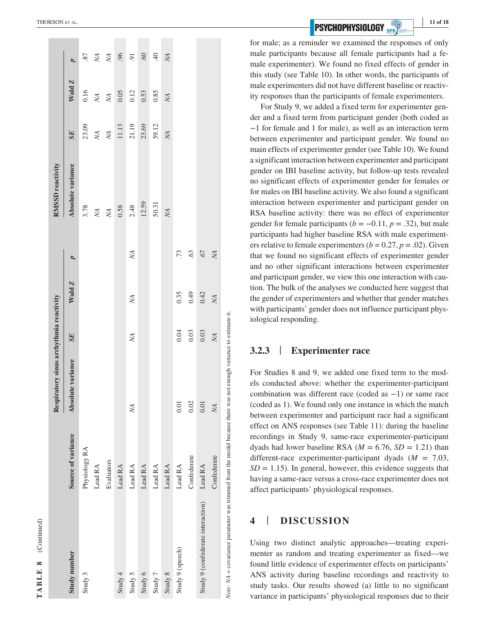| $\infty$                 |
|--------------------------|
| ⊡                        |
| Ė                        |
| ≏                        |
| ∢                        |
| $\overline{\phantom{0}}$ |

|             | THORSON ET AL.                          |                    |               |              |                                |         |         |             |                  |                  |                  |             |                                   |                | 11 of 18<br><b>PSYCHOPHYSIOLOGY</b> SPR)                                                                                                                                                                                                             |
|-------------|-----------------------------------------|--------------------|---------------|--------------|--------------------------------|---------|---------|-------------|------------------|------------------|------------------|-------------|-----------------------------------|----------------|------------------------------------------------------------------------------------------------------------------------------------------------------------------------------------------------------------------------------------------------------|
|             |                                         |                    |               |              |                                |         |         |             |                  |                  |                  |             |                                   |                | for male; as a reminder we examined the responses of only                                                                                                                                                                                            |
|             |                                         | p                  | 87            | $N_A$        | $\cal N\!A$                    |         | 96      | 60          | 40               | ΝA <sub>1</sub>  |                  |             |                                   |                | male participants because all female participants had a fe-<br>male experimenter). We found no fixed effects of gender in                                                                                                                            |
|             |                                         |                    |               |              |                                |         |         |             |                  |                  |                  |             |                                   |                | this study (see Table 10). In other words, the participants of                                                                                                                                                                                       |
|             |                                         | Wald Z             |               |              |                                |         |         |             |                  |                  |                  |             |                                   |                | male experimenters did not have different baseline or reactiv-                                                                                                                                                                                       |
|             |                                         |                    | 0.16          | $\mathbb{N}$ | $\mathcal{N}\!A$               | 0.05    | 0.12    | 0.53        | 0.85             | ΝA.              |                  |             |                                   |                | ity responses than the participants of female experimenters.                                                                                                                                                                                         |
|             |                                         |                    |               |              |                                |         |         |             |                  |                  |                  |             |                                   |                | For Study 9, we added a fixed term for experimenter gen-                                                                                                                                                                                             |
|             |                                         |                    |               |              |                                |         |         |             |                  |                  |                  |             |                                   |                | der and a fixed term from participant gender (both coded as<br>$-1$ for female and 1 for male), as well as an interaction term                                                                                                                       |
|             |                                         | <b>SE</b>          | 23.09         | $\rm M$      | $\mathcal{N}\!A$               | $11.13$ | 21.19   | 23.69       | 59.12            | <b>NA</b>        |                  |             |                                   |                | between experimenter and participant gender. We found no                                                                                                                                                                                             |
|             |                                         |                    |               |              |                                |         |         |             |                  |                  |                  |             |                                   |                | main effects of experimenter gender (see Table 10). We found                                                                                                                                                                                         |
|             |                                         |                    |               |              |                                |         |         |             |                  |                  |                  |             |                                   |                | a significant interaction between experimenter and participant                                                                                                                                                                                       |
|             | RMSSD reactivity                        | Absolute variance  |               |              |                                |         |         |             |                  |                  |                  |             |                                   |                | gender on IBI baseline activity, but follow-up tests revealed                                                                                                                                                                                        |
|             |                                         |                    |               |              |                                |         |         |             |                  |                  |                  |             |                                   |                | no significant effects of experimenter gender for females or<br>for males on IBI baseline activity. We also found a significant                                                                                                                      |
|             |                                         |                    |               |              |                                |         |         |             |                  |                  |                  |             |                                   |                | interaction between experimenter and participant gender on                                                                                                                                                                                           |
|             |                                         |                    | 3.78          | $\rm M$      | $\mathcal{N}\!\!\!\!\!\!\!\!A$ | 0.58    | 2.48    | 12.59       | 50.31            | $\mathcal{N}\!A$ |                  |             |                                   |                | RSA baseline activity: there was no effect of experimenter                                                                                                                                                                                           |
|             |                                         |                    |               |              |                                |         |         |             |                  |                  |                  |             |                                   |                | gender for female participants ( $b = -0.11$ , $p = .32$ ), but male                                                                                                                                                                                 |
|             |                                         |                    |               |              |                                |         |         |             |                  |                  |                  |             |                                   |                | participants had higher baseline RSA with male experiment-                                                                                                                                                                                           |
|             |                                         |                    |               |              |                                |         | ΧA.     |             |                  |                  | $\ddot{5}$       | 63          | 67                                | ŅА             | ers relative to female experimenters ( $b = 0.27$ , $p = .02$ ). Given<br>that we found no significant effects of experimenter gender                                                                                                                |
|             |                                         | p                  |               |              |                                |         |         |             |                  |                  |                  |             |                                   |                | and no other significant interactions between experimenter                                                                                                                                                                                           |
|             |                                         |                    |               |              |                                |         |         |             |                  |                  |                  |             |                                   |                | and participant gender, we view this one interaction with cau-                                                                                                                                                                                       |
|             |                                         | Wald Z             |               |              |                                |         |         |             |                  |                  |                  |             |                                   |                | tion. The bulk of the analyses we conducted here suggest that                                                                                                                                                                                        |
|             |                                         |                    |               |              |                                |         | ΧA.     |             |                  |                  | 0.35             | 0.49        | 0.42                              | ΝÁ.            | the gender of experimenters and whether that gender matches                                                                                                                                                                                          |
|             |                                         |                    |               |              |                                |         |         |             |                  |                  |                  |             |                                   |                | with participants' gender does not influence participant phys-                                                                                                                                                                                       |
|             |                                         |                    |               |              |                                |         |         |             |                  |                  |                  |             |                                   |                | iological responding.                                                                                                                                                                                                                                |
|             |                                         | <b>SE</b>          |               |              |                                |         | ΝA.     |             |                  |                  | 0.04             | 0.03        | $0.03$                            | N <sub>A</sub> |                                                                                                                                                                                                                                                      |
|             | Respiratory sinus arrhythmia reactivity |                    |               |              |                                |         |         |             |                  |                  |                  |             |                                   |                | <b>Experimenter race</b><br>3.2.3                                                                                                                                                                                                                    |
|             |                                         |                    |               |              |                                |         |         |             |                  |                  |                  |             |                                   |                |                                                                                                                                                                                                                                                      |
|             |                                         | variance           |               |              |                                |         |         |             |                  |                  |                  |             |                                   |                | For Studies 8 and 9, we added one fixed term to the mod-                                                                                                                                                                                             |
|             |                                         |                    |               |              |                                |         |         |             |                  |                  |                  |             |                                   |                | els conducted above: whether the experimenter-participant<br>combination was different race (coded as $-1$ ) or same race                                                                                                                            |
|             |                                         | Absolute           |               |              |                                |         |         |             |                  |                  | 0.01             | 0.02        | 0.01                              | <b>NA</b>      | (coded as 1). We found only one instance in which the match                                                                                                                                                                                          |
|             |                                         |                    |               |              |                                |         | NА      |             |                  |                  |                  |             |                                   |                | between experimenter and participant race had a significant                                                                                                                                                                                          |
|             |                                         |                    |               |              |                                |         |         |             |                  |                  |                  |             |                                   |                | effect on ANS responses (see Table 11): during the baseline                                                                                                                                                                                          |
|             |                                         | Source of variance |               |              |                                |         |         |             |                  |                  |                  |             |                                   |                | recordings in Study 9, same-race experimenter-participant                                                                                                                                                                                            |
|             |                                         |                    |               |              |                                |         |         |             |                  |                  |                  |             |                                   |                | dyads had lower baseline RSA ( $M = 6.76$ , $SD = 1.21$ ) than<br>different-race experimenter-participant dyads ( $M = 7.03$ ,                                                                                                                       |
|             |                                         |                    | Physiology RA |              | Evaluators                     |         |         |             |                  |                  |                  | Confederate |                                   | Confederate    | $SD = 1.15$ ). In general, however, this evidence suggests that                                                                                                                                                                                      |
|             |                                         |                    |               | Lead RA      |                                | Lead RA | Lead RA | Lead RA     | $\mbox{Lead RA}$ | Lead RA          | Lead RA          |             | Lead RA                           |                | having a same-race versus a cross-race experimenter does not                                                                                                                                                                                         |
|             |                                         |                    |               |              |                                |         |         |             |                  |                  |                  |             |                                   |                | affect participants' physiological responses.                                                                                                                                                                                                        |
|             |                                         |                    |               |              |                                |         |         |             |                  |                  |                  |             |                                   |                |                                                                                                                                                                                                                                                      |
|             |                                         |                    |               |              |                                |         |         |             |                  |                  |                  |             |                                   |                | <b>DISCUSSION</b><br>4                                                                                                                                                                                                                               |
| (Continued) |                                         |                    |               |              |                                |         |         |             |                  |                  |                  |             |                                   |                |                                                                                                                                                                                                                                                      |
|             |                                         |                    |               |              |                                |         |         |             |                  |                  |                  |             |                                   |                | Using two distinct analytic approaches—treating experi-                                                                                                                                                                                              |
|             |                                         |                    |               |              |                                |         |         |             |                  |                  |                  |             | Study 9 (confederate interaction) |                | menter as random and treating experimenter as fixed-we                                                                                                                                                                                               |
| $\infty$    |                                         |                    |               |              |                                |         |         |             |                  |                  |                  |             |                                   |                | found little evidence of experimenter effects on participants'                                                                                                                                                                                       |
|             |                                         | Study number       |               |              |                                | Study 4 | Study 5 | Study $6\,$ | Study $7\,$      | Study $8\,$      | Study 9 (speech) |             |                                   |                | ANS activity during baseline recordings and reactivity to                                                                                                                                                                                            |
| TABLE       |                                         |                    | Study         |              |                                |         |         |             |                  |                  |                  |             |                                   |                | Note: $NA = covariance$ parameter was trimmed from the model because there was not enough variance to estimate it.<br>study tasks. Our results showed (a) little to no significant<br>variance in participants' physiological responses due to their |
|             |                                         |                    |               |              |                                |         |         |             |                  |                  |                  |             |                                   |                |                                                                                                                                                                                                                                                      |

#### **3.2.3** | **Experimenter race**

## **4** | **DISCUSSION**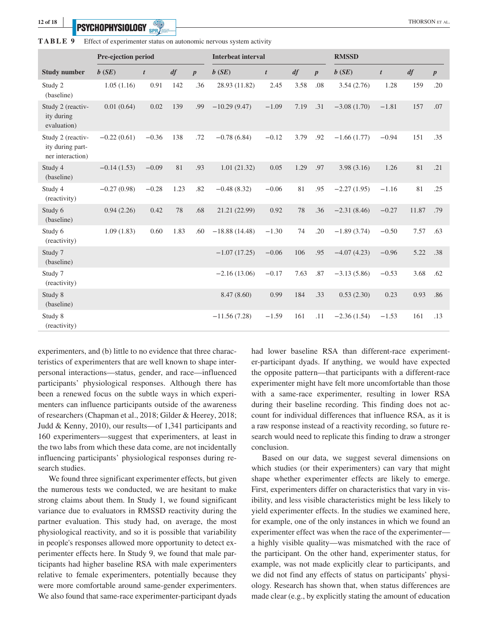**PSYCHOPHYSIOLOGY** *CONTRESSE* 

|  |  |  |  |  | <b>TABLE 9</b> Effect of experimenter status on autonomic nervous system activity |  |
|--|--|--|--|--|-----------------------------------------------------------------------------------|--|
|--|--|--|--|--|-----------------------------------------------------------------------------------|--|

|                                                           | Pre-ejection period         |         |      |                  | <b>Interbeat interval</b> |         |      | <b>RMSSD</b>     |               |                  |       |                  |  |
|-----------------------------------------------------------|-----------------------------|---------|------|------------------|---------------------------|---------|------|------------------|---------------|------------------|-------|------------------|--|
| <b>Study number</b>                                       | df<br>b(SE)<br>$\mathbf{t}$ |         |      | $\boldsymbol{p}$ | b(SE)                     | df<br>t |      | $\boldsymbol{p}$ | b(SE)         | $\boldsymbol{t}$ | df    | $\boldsymbol{p}$ |  |
| Study 2<br>(baseline)                                     | 1.05(1.16)                  | 0.91    | 142  | .36              | 28.93 (11.82)             | 2.45    | 3.58 | .08              | 3.54(2.76)    | 1.28             | 159   | .20              |  |
| Study 2 (reactiv-<br>ity during<br>evaluation)            | 0.01(0.64)                  | 0.02    | 139  | .99              | $-10.29(9.47)$            | $-1.09$ | 7.19 | .31              | $-3.08(1.70)$ | $-1.81$          | 157   | .07              |  |
| Study 2 (reactiv-<br>ity during part-<br>ner interaction) | $-0.22(0.61)$               | $-0.36$ | 138  | .72              | $-0.78(6.84)$             | $-0.12$ | 3.79 | .92              | $-1.66(1.77)$ | $-0.94$          | 151   | .35              |  |
| Study 4<br>(baseline)                                     | $-0.14(1.53)$               | $-0.09$ | 81   | .93              | 1.01(21.32)               | 0.05    | 1.29 | .97              | 3.98(3.16)    | 1.26             | 81    | .21              |  |
| Study 4<br>(reactivity)                                   | $-0.27(0.98)$               | $-0.28$ | 1.23 | .82              | $-0.48(8.32)$             | $-0.06$ | 81   | .95              | $-2.27(1.95)$ | $-1.16$          | 81    | .25              |  |
| Study 6<br>(baseline)                                     | 0.94(2.26)                  | 0.42    | 78   | .68              | 21.21 (22.99)             | 0.92    | 78   | .36              | $-2.31(8.46)$ | $-0.27$          | 11.87 | .79              |  |
| Study 6<br>(reactivity)                                   | 1.09(1.83)                  | 0.60    | 1.83 | .60              | $-18.88(14.48)$           | $-1.30$ | 74   | .20              | $-1.89(3.74)$ | $-0.50$          | 7.57  | .63              |  |
| Study 7<br>(baseline)                                     |                             |         |      |                  | $-1.07(17.25)$            | $-0.06$ | 106  | .95              | $-4.07(4.23)$ | $-0.96$          | 5.22  | .38              |  |
| Study 7<br>(reactivity)                                   |                             |         |      |                  | $-2.16(13.06)$            | $-0.17$ | 7.63 | .87              | $-3.13(5.86)$ | $-0.53$          | 3.68  | .62              |  |
| Study 8<br>(baseline)                                     |                             |         |      |                  | 8.47(8.60)                | 0.99    | 184  | .33              | 0.53(2.30)    | 0.23             | 0.93  | .86              |  |
| Study 8<br>(reactivity)                                   |                             |         |      |                  | $-11.56(7.28)$            | $-1.59$ | 161  | .11              | $-2.36(1.54)$ | $-1.53$          | 161   | .13              |  |

experimenters, and (b) little to no evidence that three characteristics of experimenters that are well known to shape interpersonal interactions—status, gender, and race—influenced participants' physiological responses. Although there has been a renewed focus on the subtle ways in which experimenters can influence participants outside of the awareness of researchers (Chapman et al., 2018; Gilder & Heerey, 2018; Judd & Kenny, 2010), our results—of 1,341 participants and 160 experimenters—suggest that experimenters, at least in the two labs from which these data come, are not incidentally influencing participants' physiological responses during research studies.

We found three significant experimenter effects, but given the numerous tests we conducted, we are hesitant to make strong claims about them. In Study 1, we found significant variance due to evaluators in RMSSD reactivity during the partner evaluation. This study had, on average, the most physiological reactivity, and so it is possible that variability in people's responses allowed more opportunity to detect experimenter effects here. In Study 9, we found that male participants had higher baseline RSA with male experimenters relative to female experimenters, potentially because they were more comfortable around same-gender experimenters. We also found that same-race experimenter-participant dyads

had lower baseline RSA than different-race experimenter-participant dyads. If anything, we would have expected the opposite pattern—that participants with a different-race experimenter might have felt more uncomfortable than those with a same-race experimenter, resulting in lower RSA during their baseline recording. This finding does not account for individual differences that influence RSA, as it is a raw response instead of a reactivity recording, so future research would need to replicate this finding to draw a stronger conclusion.

Based on our data, we suggest several dimensions on which studies (or their experimenters) can vary that might shape whether experimenter effects are likely to emerge. First, experimenters differ on characteristics that vary in visibility, and less visible characteristics might be less likely to yield experimenter effects. In the studies we examined here, for example, one of the only instances in which we found an experimenter effect was when the race of the experimenter a highly visible quality—was mismatched with the race of the participant. On the other hand, experimenter status, for example, was not made explicitly clear to participants, and we did not find any effects of status on participants' physiology. Research has shown that, when status differences are made clear (e.g., by explicitly stating the amount of education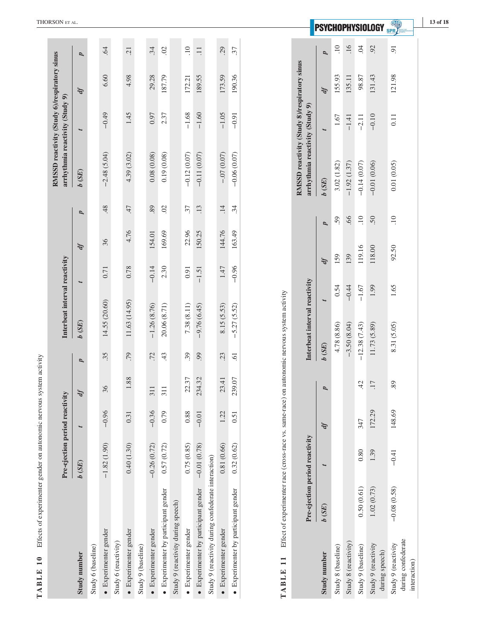|                                                                     | THORSON ET AL.                                                                  |              |                    |                       |                      |                               |                    |                       |                                      |                                    |                               |                                              |                                                     |                        |                                      |                                                                                             |                                 |              |                    |                      |                    | <b>PSYCHOPHYSIOLOGY</b>               |                                                           | 13 of 18 |
|---------------------------------------------------------------------|---------------------------------------------------------------------------------|--------------|--------------------|-----------------------|----------------------|-------------------------------|--------------------|-----------------------|--------------------------------------|------------------------------------|-------------------------------|----------------------------------------------|-----------------------------------------------------|------------------------|--------------------------------------|---------------------------------------------------------------------------------------------|---------------------------------|--------------|--------------------|----------------------|--------------------|---------------------------------------|-----------------------------------------------------------|----------|
|                                                                     |                                                                                 | p            |                    | $\ddot{q}$            |                      | $\overline{21}$               |                    | $\ddot{.}34$          | $\widetilde{\omega}$                 |                                    | $\overline{10}$               | $\overline{11}$                              |                                                     | 29                     | 37                                   |                                                                                             |                                 | p            | $\overline{10}$    | .16                  | Ŕ                  | 92                                    | $\overline{.0}$                                           |          |
|                                                                     |                                                                                 | ďf           |                    | 6.60                  |                      | 4.98                          |                    | 29.28                 | 187.79                               |                                    | 172.21                        | 189.55                                       |                                                     | 173.59                 | 190.36                               |                                                                                             |                                 | ďf           | 155.93             | 135.11               | 98.87              | 131.43                                | 121.98                                                    |          |
|                                                                     |                                                                                 | t            |                    | $-0.49$               |                      | 1.45                          |                    | 0.97                  | 2.37                                 |                                    | $-1.68$                       | $-1.60$                                      |                                                     | $-1.05$                | $-0.91$                              |                                                                                             |                                 |              | 1.67               | $-1.41$              | $-2.11$            | $-0.10$                               | 0.11                                                      |          |
|                                                                     | RMSSD reactivity (Study 6)/respiratory sinus<br>arrhythmia reactivity (Study 9) | b(SE)        |                    | $-2.48(5.04)$         |                      | 4.39(3.02)                    |                    | 0.08(0.08)            | 0.19(0.08)                           |                                    | $-0.12(0.07)$                 | $-0.11(0.07)$                                |                                                     | $-.07(0.07)$           | $-0.06(0.07)$                        | RMSSD reactivity (Study 8)/respiratory sinus                                                | arrhythmia reactivity (Study 9) | b(SE)        | 3.02(1.82)         | $-1.92(1.37)$        | $-0.14(0.07)$      | $-0.01(0.06)$                         | 0.01(0.05)                                                |          |
|                                                                     |                                                                                 | p            |                    | 48                    |                      | 47                            |                    | 89                    | $\widetilde{\omega}$                 |                                    | 37                            | .13                                          |                                                     | $\overline{14}$        | $\ddot{34}$                          |                                                                                             |                                 |              | 59                 | 99.                  | $\overline{10}$    | 50                                    | $\overline{10}$                                           |          |
|                                                                     |                                                                                 | ďf           |                    | 36                    |                      | 4.76                          |                    | 154.01                | 169.69                               |                                    | 22.96                         | 150.25                                       |                                                     | 144.76                 | 163.49                               |                                                                                             |                                 | p            |                    | 139                  | 119.16             | 118.00                                | 92.50                                                     |          |
|                                                                     |                                                                                 |              |                    | 0.71                  |                      | 0.78                          |                    | $-0.14$               | 2.30                                 |                                    | 0.91                          | $-1.51$                                      |                                                     | 1.47                   | $-0.96$                              |                                                                                             |                                 | Ą            | 159<br>0.54        | $-0.44$              | $-1.67$            | 1.99                                  | 1.65                                                      |          |
|                                                                     | Interbeat interval reactivity                                                   | b(SE)        |                    | 14.55 (20.60)         |                      | 11.63 (14.95)                 |                    | $-1.26(8.76)$         | 20.06 (8.71)                         |                                    | 7.38(8.11)                    | $-9.76(6.45)$                                |                                                     | 8.15 (5.53)            | $-5.27(5.52)$                        |                                                                                             | Interbeat interval reactivity   |              | 4.78 (8.86)        |                      |                    |                                       | 8.31 (5.05)                                               |          |
|                                                                     |                                                                                 | p            |                    | 35                    |                      | .79                           |                    | .72                   | 43                                   |                                    | 39                            | 99                                           |                                                     | 23                     | $\overline{61}$                      |                                                                                             |                                 | b(SE)        |                    | $-3.50(8.04)$        | $-12.38(7.43)$     | 11.73 (5.89)                          |                                                           |          |
|                                                                     |                                                                                 | IJ           |                    | 36                    |                      | 88                            |                    | 311                   | 311                                  |                                    | 37<br>22.                     | 32<br>234.                                   |                                                     | $\overline{41}$<br>23. | $\overline{O}$<br>239.               |                                                                                             |                                 | p            |                    |                      | 42                 | $\overline{\phantom{a}}$<br>H         | 89                                                        |          |
|                                                                     |                                                                                 |              | $-0.96$            |                       | 0.31                 |                               | $-0.36$            | 0.79                  |                                      | 0.88                               | $-0.01$                       |                                              | 1.22                                                | 0.51                   |                                      |                                                                                             | Ą                               |              |                    | 347                  | 172.29             | 148.69                                |                                                           |          |
|                                                                     | Pre-ejection period reactivity                                                  | b(SE)        |                    | $-1.82(1.90)$         |                      | 0.40(1.30)                    |                    | $-0.26(0.72)$         | 0.57(0.72)                           |                                    | 0.75 (0.85)                   | $-0.01(0.78)$                                |                                                     | 0.81 (0.66)            | 0.32(0.62)                           |                                                                                             |                                 |              |                    |                      | 0.80               | 1.39                                  | $-0.41$                                                   |          |
| Effects of experimenter gender on autonomic nervous system activity |                                                                                 |              |                    |                       |                      |                               |                    |                       |                                      |                                    |                               |                                              |                                                     |                        |                                      | Effect of experimenter race (cross-race vs. same-race) on autonomic nervous system activity | Pre-ejection period reactivity  | b(SE)        |                    |                      | 0.50(0.61)         | 1.02(0.73)                            | $-0.08(0.58)$                                             |          |
| 10<br>TABLE                                                         |                                                                                 | Study number | Study 6 (baseline) | · Experimenter gender | Study 6 (reactivity) | $\bullet$ Experimenter gender | Study 9 (baseline) | · Experimenter gender | • Experimenter by participant gender | Study 9 (reactivity during speech) | $\bullet$ Experimenter gender | $\bullet$ Experimenter by participant gender | Study 9 (reactivity during confederate interaction) | · Experimenter gender  | • Experimenter by participant gender | $\overline{\phantom{0}}$<br>$\overline{ }$<br>TABLE                                         |                                 | Study number | Study 8 (baseline) | Study 8 (reactivity) | Study 9 (baseline) | Study 9 (reactivity<br>during speech) | during confederate<br>Study 9 (reactivity<br>interaction) |          |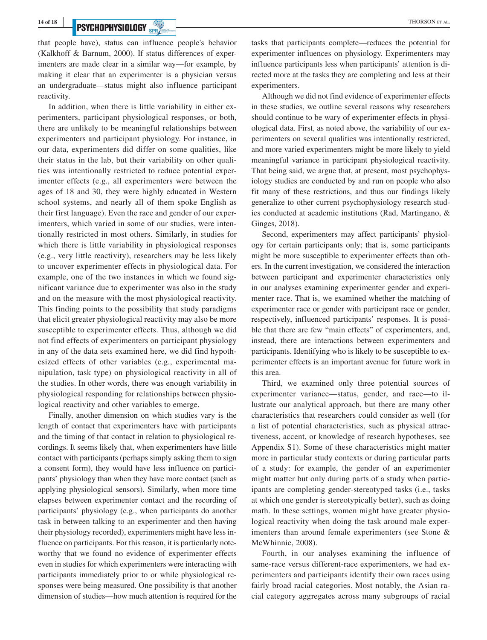## **PSYCHOPHYSIOLOGY** *CONTRESS AND RESERVE EXPLORATION CONTRESS ALL EXPLORATION CONTRESS ALL* **THORSON ET AL**

that people have), status can influence people's behavior (Kalkhoff & Barnum, 2000). If status differences of experimenters are made clear in a similar way—for example, by making it clear that an experimenter is a physician versus an undergraduate—status might also influence participant reactivity.

In addition, when there is little variability in either experimenters, participant physiological responses, or both, there are unlikely to be meaningful relationships between experimenters and participant physiology. For instance, in our data, experimenters did differ on some qualities, like their status in the lab, but their variability on other qualities was intentionally restricted to reduce potential experimenter effects (e.g., all experimenters were between the ages of 18 and 30, they were highly educated in Western school systems, and nearly all of them spoke English as their first language). Even the race and gender of our experimenters, which varied in some of our studies, were intentionally restricted in most others. Similarly, in studies for which there is little variability in physiological responses (e.g., very little reactivity), researchers may be less likely to uncover experimenter effects in physiological data. For example, one of the two instances in which we found significant variance due to experimenter was also in the study and on the measure with the most physiological reactivity. This finding points to the possibility that study paradigms that elicit greater physiological reactivity may also be more susceptible to experimenter effects. Thus, although we did not find effects of experimenters on participant physiology in any of the data sets examined here, we did find hypothesized effects of other variables (e.g., experimental manipulation, task type) on physiological reactivity in all of the studies. In other words, there was enough variability in physiological responding for relationships between physiological reactivity and other variables to emerge.

Finally, another dimension on which studies vary is the length of contact that experimenters have with participants and the timing of that contact in relation to physiological recordings. It seems likely that, when experimenters have little contact with participants (perhaps simply asking them to sign a consent form), they would have less influence on participants' physiology than when they have more contact (such as applying physiological sensors). Similarly, when more time elapses between experimenter contact and the recording of participants' physiology (e.g., when participants do another task in between talking to an experimenter and then having their physiology recorded), experimenters might have less influence on participants. For this reason, it is particularly noteworthy that we found no evidence of experimenter effects even in studies for which experimenters were interacting with participants immediately prior to or while physiological responses were being measured. One possibility is that another dimension of studies—how much attention is required for the

tasks that participants complete—reduces the potential for experimenter influences on physiology. Experimenters may influence participants less when participants' attention is directed more at the tasks they are completing and less at their experimenters.

Although we did not find evidence of experimenter effects in these studies, we outline several reasons why researchers should continue to be wary of experimenter effects in physiological data. First, as noted above, the variability of our experimenters on several qualities was intentionally restricted, and more varied experimenters might be more likely to yield meaningful variance in participant physiological reactivity. That being said, we argue that, at present, most psychophysiology studies are conducted by and run on people who also fit many of these restrictions, and thus our findings likely generalize to other current psychophysiology research studies conducted at academic institutions (Rad, Martingano, & Ginges, 2018).

Second, experimenters may affect participants' physiology for certain participants only; that is, some participants might be more susceptible to experimenter effects than others. In the current investigation, we considered the interaction between participant and experimenter characteristics only in our analyses examining experimenter gender and experimenter race. That is, we examined whether the matching of experimenter race or gender with participant race or gender, respectively, influenced participants' responses. It is possible that there are few "main effects" of experimenters, and, instead, there are interactions between experimenters and participants. Identifying who is likely to be susceptible to experimenter effects is an important avenue for future work in this area.

Third, we examined only three potential sources of experimenter variance—status, gender, and race—to illustrate our analytical approach, but there are many other characteristics that researchers could consider as well (for a list of potential characteristics, such as physical attractiveness, accent, or knowledge of research hypotheses, see Appendix S1). Some of these characteristics might matter more in particular study contexts or during particular parts of a study: for example, the gender of an experimenter might matter but only during parts of a study when participants are completing gender-stereotyped tasks (i.e., tasks at which one gender is stereotypically better), such as doing math. In these settings, women might have greater physiological reactivity when doing the task around male experimenters than around female experimenters (see Stone & McWhinnie, 2008).

Fourth, in our analyses examining the influence of same-race versus different-race experimenters, we had experimenters and participants identify their own races using fairly broad racial categories. Most notably, the Asian racial category aggregates across many subgroups of racial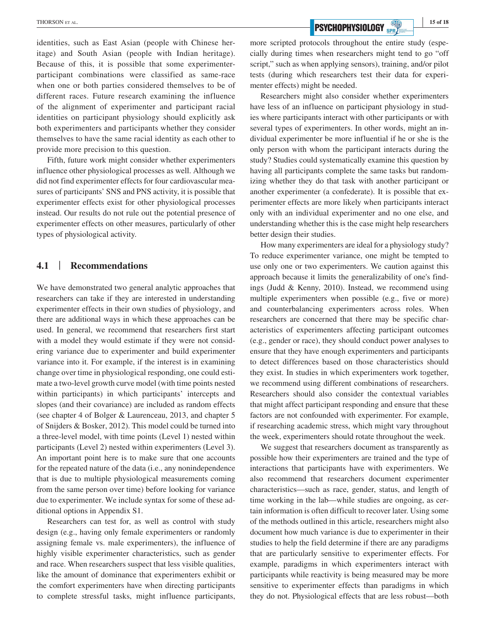identities, such as East Asian (people with Chinese heritage) and South Asian (people with Indian heritage). Because of this, it is possible that some experimenterparticipant combinations were classified as same-race when one or both parties considered themselves to be of different races. Future research examining the influence of the alignment of experimenter and participant racial identities on participant physiology should explicitly ask both experimenters and participants whether they consider themselves to have the same racial identity as each other to provide more precision to this question.

Fifth, future work might consider whether experimenters influence other physiological processes as well. Although we did not find experimenter effects for four cardiovascular measures of participants' SNS and PNS activity, it is possible that experimenter effects exist for other physiological processes instead. Our results do not rule out the potential presence of experimenter effects on other measures, particularly of other types of physiological activity.

## **4.1** | **Recommendations**

We have demonstrated two general analytic approaches that researchers can take if they are interested in understanding experimenter effects in their own studies of physiology, and there are additional ways in which these approaches can be used. In general, we recommend that researchers first start with a model they would estimate if they were not considering variance due to experimenter and build experimenter variance into it. For example, if the interest is in examining change over time in physiological responding, one could estimate a two-level growth curve model (with time points nested within participants) in which participants' intercepts and slopes (and their covariance) are included as random effects (see chapter 4 of Bolger & Laurenceau, 2013, and chapter 5 of Snijders & Bosker, 2012). This model could be turned into a three-level model, with time points (Level 1) nested within participants (Level 2) nested within experimenters (Level 3). An important point here is to make sure that one accounts for the repeated nature of the data (i.e., any nonindependence that is due to multiple physiological measurements coming from the same person over time) before looking for variance due to experimenter. We include syntax for some of these additional options in Appendix S1.

Researchers can test for, as well as control with study design (e.g., having only female experimenters or randomly assigning female vs. male experimenters), the influence of highly visible experimenter characteristics, such as gender and race. When researchers suspect that less visible qualities, like the amount of dominance that experimenters exhibit or the comfort experimenters have when directing participants to complete stressful tasks, might influence participants,

more scripted protocols throughout the entire study (especially during times when researchers might tend to go "off script," such as when applying sensors), training, and/or pilot tests (during which researchers test their data for experimenter effects) might be needed.

Researchers might also consider whether experimenters have less of an influence on participant physiology in studies where participants interact with other participants or with several types of experimenters. In other words, might an individual experimenter be more influential if he or she is the only person with whom the participant interacts during the study? Studies could systematically examine this question by having all participants complete the same tasks but randomizing whether they do that task with another participant or another experimenter (a confederate). It is possible that experimenter effects are more likely when participants interact only with an individual experimenter and no one else, and understanding whether this is the case might help researchers better design their studies.

How many experimenters are ideal for a physiology study? To reduce experimenter variance, one might be tempted to use only one or two experimenters. We caution against this approach because it limits the generalizability of one's findings (Judd & Kenny, 2010). Instead, we recommend using multiple experimenters when possible (e.g., five or more) and counterbalancing experimenters across roles. When researchers are concerned that there may be specific characteristics of experimenters affecting participant outcomes (e.g., gender or race), they should conduct power analyses to ensure that they have enough experimenters and participants to detect differences based on those characteristics should they exist. In studies in which experimenters work together, we recommend using different combinations of researchers. Researchers should also consider the contextual variables that might affect participant responding and ensure that these factors are not confounded with experimenter. For example, if researching academic stress, which might vary throughout the week, experimenters should rotate throughout the week.

We suggest that researchers document as transparently as possible how their experimenters are trained and the type of interactions that participants have with experimenters. We also recommend that researchers document experimenter characteristics—such as race, gender, status, and length of time working in the lab—while studies are ongoing, as certain information is often difficult to recover later. Using some of the methods outlined in this article, researchers might also document how much variance is due to experimenter in their studies to help the field determine if there are any paradigms that are particularly sensitive to experimenter effects. For example, paradigms in which experimenters interact with participants while reactivity is being measured may be more sensitive to experimenter effects than paradigms in which they do not. Physiological effects that are less robust—both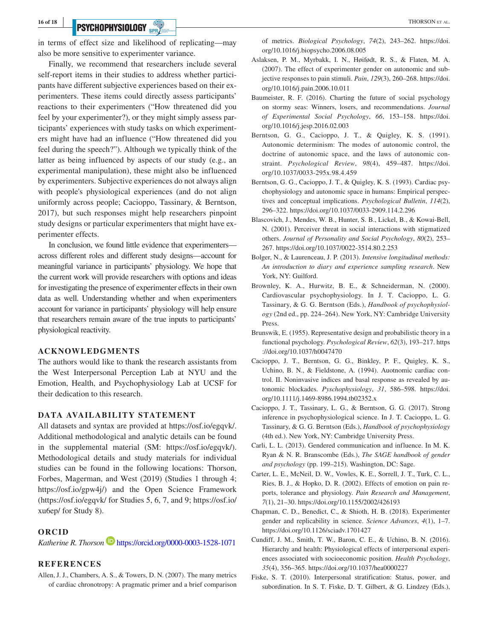## **PSYCHOPHYSIOLOGY** SPRY **Example 2014** THORSON ET AL.

in terms of effect size and likelihood of replicating—may also be more sensitive to experimenter variance.

Finally, we recommend that researchers include several self-report items in their studies to address whether participants have different subjective experiences based on their experimenters. These items could directly assess participants' reactions to their experimenters ("How threatened did you feel by your experimenter?), or they might simply assess participants' experiences with study tasks on which experimenters might have had an influence ("How threatened did you feel during the speech?"). Although we typically think of the latter as being influenced by aspects of our study (e.g., an experimental manipulation), these might also be influenced by experimenters. Subjective experiences do not always align with people's physiological experiences (and do not align uniformly across people; Cacioppo, Tassinary, & Berntson, 2017), but such responses might help researchers pinpoint study designs or particular experimenters that might have experimenter effects.

In conclusion, we found little evidence that experimenters across different roles and different study designs—account for meaningful variance in participants' physiology. We hope that the current work will provide researchers with options and ideas for investigating the presence of experimenter effects in their own data as well. Understanding whether and when experimenters account for variance in participants' physiology will help ensure that researchers remain aware of the true inputs to participants' physiological reactivity.

#### **ACKNOWLEDGMENTS**

The authors would like to thank the research assistants from the West Interpersonal Perception Lab at NYU and the Emotion, Health, and Psychophysiology Lab at UCSF for their dedication to this research.

#### **DATA AVAILABILITY STATEMENT**

All datasets and syntax are provided at https://osf.io/egqvk/. Additional methodological and analytic details can be found in the supplemental material (SM: [https://osf.io/egqvk/\)](https://osf.io/egqvk/). Methodological details and study materials for individual studies can be found in the following locations: Thorson, Forbes, Magerman, and West (2019) (Studies 1 through 4; <https://osf.io/gpw4j/>) and the Open Science Framework (<https://osf.io/egqvk/> for Studies 5, 6, 7, and 9; [https://osf.io/](https://osf.io/xu6ep/) [xu6ep/](https://osf.io/xu6ep/) for Study 8).

#### **ORCID**

*Katherine R. Thorso[n](https://orcid.org/0000-0003-1528-1071)* <https://orcid.org/0000-0003-1528-1071>

### **REFERENCES**

Allen, J. J., Chambers, A. S., & Towers, D. N. (2007). The many metrics of cardiac chronotropy: A pragmatic primer and a brief comparison of metrics. *Biological Psychology*, *74*(2), 243–262. [https://doi.](https://doi.org/10.1016/j.biopsycho.2006.08.005) [org/10.1016/j.biopsycho.2006.08.005](https://doi.org/10.1016/j.biopsycho.2006.08.005)

- Aslaksen, P. M., Myrbakk, I. N., Høifødt, R. S., & Flaten, M. A. (2007). The effect of experimenter gender on autonomic and subjective responses to pain stimuli. *Pain*, *129*(3), 260–268. [https://doi.](https://doi.org/10.1016/j.pain.2006.10.011) [org/10.1016/j.pain.2006.10.011](https://doi.org/10.1016/j.pain.2006.10.011)
- Baumeister, R. F. (2016). Charting the future of social psychology on stormy seas: Winners, losers, and recommendations. *Journal of Experimental Social Psychology*, *66*, 153–158. [https://doi.](https://doi.org/10.1016/j.jesp.2016.02.003) [org/10.1016/j.jesp.2016.02.003](https://doi.org/10.1016/j.jesp.2016.02.003)
- Berntson, G. G., Cacioppo, J. T., & Quigley, K. S. (1991). Autonomic determinism: The modes of autonomic control, the doctrine of autonomic space, and the laws of autonomic constraint. *Psychological Review*, *98*(4), 459–487. [https://doi.](https://doi.org/10.1037/0033-295x.98.4.459) [org/10.1037/0033-295x.98.4.459](https://doi.org/10.1037/0033-295x.98.4.459)
- Berntson, G. G., Cacioppo, J. T., & Quigley, K. S. (1993). Cardiac psychophysiology and autonomic space in humans: Empirical perspectives and conceptual implications. *Psychological Bulletin*, *114*(2), 296–322. <https://doi.org/10.1037/0033-2909.114.2.296>
- Blascovich, J., Mendes, W. B., Hunter, S. B., Lickel, B., & Kowai-Bell, N. (2001). Perceiver threat in social interactions with stigmatized others. *Journal of Personality and Social Psychology*, *80*(2), 253– 267. <https://doi.org/10.1037/0022-3514.80.2.253>
- Bolger, N., & Laurenceau, J. P. (2013). *Intensive longitudinal methods: An introduction to diary and experience sampling research*. New York, NY: Guilford.
- Brownley, K. A., Hurwitz, B. E., & Schneiderman, N. (2000). Cardiovascular psychophysiology. In J. T. Cacioppo, L. G. Tassinary, & G. G. Berntson (Eds.), *Handbook of psychophysiology* (2nd ed., pp. 224–264). New York, NY: Cambridge University Press.
- Brunswik, E. (1955). Representative design and probabilistic theory in a functional psychology. *Psychological Review*, *62*(3), 193–217. [https](https://doi.org/10.1037/h0047470) [://doi.org/10.1037/h0047470](https://doi.org/10.1037/h0047470)
- Cacioppo, J. T., Berntson, G. G., Binkley, P. F., Quigley, K. S., Uchino, B. N., & Fieldstone, A. (1994). Auotnomic cardiac control. II. Noninvasive indices and basal response as revealed by autonomic blockades. *Pyschophysiology*, *31*, 586–598. [https://doi.](https://doi.org/10.1111/j.1469-8986.1994.tb02352.x) [org/10.1111/j.1469-8986.1994.tb02352.x](https://doi.org/10.1111/j.1469-8986.1994.tb02352.x)
- Cacioppo, J. T., Tassinary, L. G., & Berntson, G. G. (2017). Strong inference in psychophysiological science. In J. T. Cacioppo, L. G. Tassinary, & G. G. Berntson (Eds.), *Handbook of psychophysiology* (4th ed.). New York, NY: Cambridge University Press.
- Carli, L. L. (2013). Gendered communication and influence. In M. K. Ryan & N. R. Branscombe (Eds.), *The SAGE handbook of gender and psychology* (pp. 199–215). Washington, DC: Sage.
- Carter, L. E., McNeil, D. W., Vowles, K. E., Sorrell, J. T., Turk, C. L., Ries, B. J., & Hopko, D. R. (2002). Effects of emotion on pain reports, tolerance and physiology. *Pain Research and Management*, *7*(1), 21–30.<https://doi.org/10.1155/2002/426193>
- Chapman, C. D., Benedict, C., & Shioth, H. B. (2018). Experimenter gender and replicability in science. *Science Advances*, *4*(1), 1–7. <https://doi.org/10.1126/sciadv.1701427>
- Cundiff, J. M., Smith, T. W., Baron, C. E., & Uchino, B. N. (2016). Hierarchy and health: Physiological effects of interpersonal experiences associated with socioeconomic position. *Health Psychology*, *35*(4), 356–365.<https://doi.org/10.1037/hea0000227>
- Fiske, S. T. (2010). Interpersonal stratification: Status, power, and subordination. In S. T. Fiske, D. T. Gilbert, & G. Lindzey (Eds.),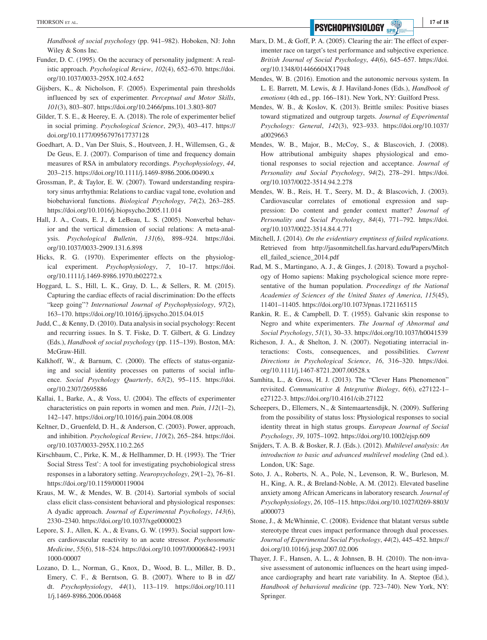**PSYCHOPHYSIOLOGY** SPR/

*Handbook of social psychology* (pp. 941–982). Hoboken, NJ: John Wiley & Sons Inc.

- Funder, D. C. (1995). On the accuracy of personality judgment: A realistic approach. *Psychological Review*, *102*(4), 652–670. [https://doi.](https://doi.org/10.1037/0033-295X.102.4.652) [org/10.1037/0033-295X.102.4.652](https://doi.org/10.1037/0033-295X.102.4.652)
- Gijsbers, K., & Nicholson, F. (2005). Experimental pain thresholds influenced by sex of experimenter. *Perceptual and Motor Skills*, *101*(3), 803–807. <https://doi.org/10.2466/pms.101.3.803-807>
- Gilder, T. S. E., & Heerey, E. A. (2018). The role of experimenter belief in social priming. *Psychological Science*, *29*(3), 403–417. [https://](https://doi.org/10.1177/0956797617737128) [doi.org/10.1177/0956797617737128](https://doi.org/10.1177/0956797617737128)
- Goedhart, A. D., Van Der Sluis, S., Houtveen, J. H., Willemsen, G., & De Geus, E. J. (2007). Comparison of time and frequency domain measures of RSA in ambulatory recordings. *Psychophysiology*, *44*, 203–215. <https://doi.org/10.1111/j.1469-8986.2006.00490.x>
- Grossman, P., & Taylor, E. W. (2007). Toward understanding respiratory sinus arrhythmia: Relations to cardiac vagal tone, evolution and biobehavioral functions. *Biological Psychology*, *74*(2), 263–285. <https://doi.org/10.1016/j.biopsycho.2005.11.014>
- Hall, J. A., Coats, E. J., & LeBeau, L. S. (2005). Nonverbal behavior and the vertical dimension of social relations: A meta-analysis. *Psychological Bulletin*, *131*(6), 898–924. [https://doi.](https://doi.org/10.1037/0033-2909.131.6.898) [org/10.1037/0033-2909.131.6.898](https://doi.org/10.1037/0033-2909.131.6.898)
- Hicks, R. G. (1970). Experimenter effects on the physiological experiment. *Psychophysiology*, *7*, 10–17. [https://doi.](https://doi.org/10.1111/j.1469-8986.1970.tb02272.x) [org/10.1111/j.1469-8986.1970.tb02272.x](https://doi.org/10.1111/j.1469-8986.1970.tb02272.x)
- Hoggard, L. S., Hill, L. K., Gray, D. L., & Sellers, R. M. (2015). Capturing the cardiac effects of racial discrimination: Do the effects "keep going"? *International Journal of Psychophysiology*, *97*(2), 163–170. <https://doi.org/10.1016/j.ijpsycho.2015.04.015>
- Judd, C., & Kenny, D. (2010). Data analysis in social psychology: Recent and recurring issues. In S. T. Fiske, D. T. Gilbert, & G. Lindzey (Eds.), *Handbook of social psychology* (pp. 115–139). Boston, MA: McGraw-Hill.
- Kalkhoff, W., & Barnum, C. (2000). The effects of status-organizing and social identity processes on patterns of social influence. *Social Psychology Quarterly*, *63*(2), 95–115. [https://doi.](https://doi.org/10.2307/2695886) [org/10.2307/2695886](https://doi.org/10.2307/2695886)
- Kallai, I., Barke, A., & Voss, U. (2004). The effects of experimenter characteristics on pain reports in women and men. *Pain*, *112*(1–2), 142–147. <https://doi.org/10.1016/j.pain.2004.08.008>
- Keltner, D., Gruenfeld, D. H., & Anderson, C. (2003). Power, approach, and inhibition. *Psychological Review*, *110*(2), 265–284. [https://doi.](https://doi.org/10.1037/0033-295X.110.2.265) [org/10.1037/0033-295X.110.2.265](https://doi.org/10.1037/0033-295X.110.2.265)
- Kirschbaum, C., Pirke, K. M., & Hellhammer, D. H. (1993). The 'Trier Social Stress Test': A tool for investigating psychobiological stress responses in a laboratory setting. *Neuropsychology*, *29*(1–2), 76–81. <https://doi.org/10.1159/000119004>
- Kraus, M. W., & Mendes, W. B. (2014). Sartorial symbols of social class elicit class-consistent behavioral and physiological responses: A dyadic approach. *Journal of Experimental Psychology*, *143*(6), 2330–2340.<https://doi.org/10.1037/xge0000023>
- Lepore, S. J., Allen, K. A., & Evans, G. W. (1993). Social support lowers cardiovascular reactivity to an acute stressor. *Psychosomatic Medicine*, *55*(6), 518–524. [https://doi.org/10.1097/00006842-19931](https://doi.org/10.1097/00006842-199311000-00007) [1000-00007](https://doi.org/10.1097/00006842-199311000-00007)
- Lozano, D. L., Norman, G., Knox, D., Wood, B. L., Miller, B. D., Emery, C. F., & Berntson, G. B. (2007). Where to B in dZ/ dt. *Psychophysiology*, *44*(1), 113–119. [https://doi.org/10.111](https://doi.org/10.1111/j.1469-8986.2006.00468) [1/j.1469-8986.2006.00468](https://doi.org/10.1111/j.1469-8986.2006.00468)
- Marx, D. M., & Goff, P. A. (2005). Clearing the air: The effect of experimenter race on target's test performance and subjective experience. *British Journal of Social Psychology*, *44*(6), 645–657. [https://doi.](https://doi.org/10.1348/014466604X17948) [org/10.1348/014466604X17948](https://doi.org/10.1348/014466604X17948)
- Mendes, W. B. (2016). Emotion and the autonomic nervous system. In L. E. Barrett, M. Lewis, & J. Haviland-Jones (Eds.), *Handbook of emotions* (4th ed., pp. 166–181). New York, NY: Guilford Press.
- Mendes, W. B., & Koslov, K. (2013). Brittle smiles: Positive biases toward stigmatized and outgroup targets. *Journal of Experimental Psychology: General*, *142*(3), 923–933. [https://doi.org/10.1037/](https://doi.org/10.1037/a0029663) [a0029663](https://doi.org/10.1037/a0029663)
- Mendes, W. B., Major, B., McCoy, S., & Blascovich, J. (2008). How attributional ambiguity shapes physiological and emotional responses to social rejection and acceptance. *Journal of Personality and Social Psychology*, *94*(2), 278–291. [https://doi.](https://doi.org/10.1037/0022-3514.94.2.278) [org/10.1037/0022-3514.94.2.278](https://doi.org/10.1037/0022-3514.94.2.278)
- Mendes, W. B., Reis, H. T., Seery, M. D., & Blascovich, J. (2003). Cardiovascular correlates of emotional expression and suppression: Do content and gender context matter? *Journal of Personality and Social Psychology*, *84*(4), 771–792. [https://doi.](https://doi.org/10.1037/0022-3514.84.4.771) [org/10.1037/0022-3514.84.4.771](https://doi.org/10.1037/0022-3514.84.4.771)
- Mitchell, J. (2014). *On the evidentiary emptiness of failed replications*. Retrieved from [http://jasonmitchell.fas.harvard.edu/Papers/Mitch](http://jasonmitchell.fas.harvard.edu/Papers/Mitchell_failed_science_2014.pdf) [ell\\_failed\\_science\\_2014.pdf](http://jasonmitchell.fas.harvard.edu/Papers/Mitchell_failed_science_2014.pdf)
- Rad, M. S., Martingano, A. J., & Ginges, J. (2018). Toward a psychology of Homo sapiens: Making psychological science more representative of the human population. *Proceedings of the National Academies of Sciences of the United States of America*, *115*(45), 11401–11405. <https://doi.org/10.1073/pnas.1721165115>
- Rankin, R. E., & Campbell, D. T. (1955). Galvanic skin response to Negro and white experimenters. *The Journal of Abnormal and Social Psychology*, *51*(1), 30–33. <https://doi.org/10.1037/h0041539>
- Richeson, J. A., & Shelton, J. N. (2007). Negotiating interracial interactions: Costs, consequences, and possibilities. *Current Directions in Psychological Science*, *16*, 316–320. [https://doi.](https://doi.org/10.1111/j.1467-8721.2007.00528.x) [org/10.1111/j.1467-8721.2007.00528.x](https://doi.org/10.1111/j.1467-8721.2007.00528.x)
- Samhita, L., & Gross, H. J. (2013). The "Clever Hans Phenomenon" revisited. *Communicative & Integrative Biology*, *6*(6), e27122-1– e27122-3.<https://doi.org/10.4161/cib.27122>
- Scheepers, D., Ellemers, N., & Sintemaartensdijk, N. (2009). Suffering from the possibility of status loss: Physiological responses to social identity threat in high status groups. *European Journal of Social Psychology*, *39*, 1075–1092.<https://doi.org/10.1002/ejsp.609>
- Snijders, T. A. B. & Bosker, R. J. (Eds.). (2012). *Multilevel analysis: An introduction to basic and advanced multilevel modeling* (2nd ed.). London, UK: Sage.
- Soto, J. A., Roberts, N. A., Pole, N., Levenson, R. W., Burleson, M. H., King, A. R., & Breland-Noble, A. M. (2012). Elevated baseline anxiety among African Americans in laboratory research. *Journal of Psychophysiology*, *26*, 105–115. [https://doi.org/10.1027/0269-8803/](https://doi.org/10.1027/0269-8803/a000073) [a000073](https://doi.org/10.1027/0269-8803/a000073)
- Stone, J., & McWhinnie, C. (2008). Evidence that blatant versus subtle stereotype threat cues impact performance through dual processes. *Journal of Experimental Social Psychology*, *44*(2), 445–452. [https://](https://doi.org/10.1016/j.jesp.2007.02.006) [doi.org/10.1016/j.jesp.2007.02.006](https://doi.org/10.1016/j.jesp.2007.02.006)
- Thayer, J. F., Hansen, A. L., & Johnsen, B. H. (2010). The non-invasive assessment of autonomic influences on the heart using impedance cardiography and heart rate variability. In A. Steptoe (Ed.), *Handbook of behavioral medicine* (pp. 723–740). New York, NY: Springer.